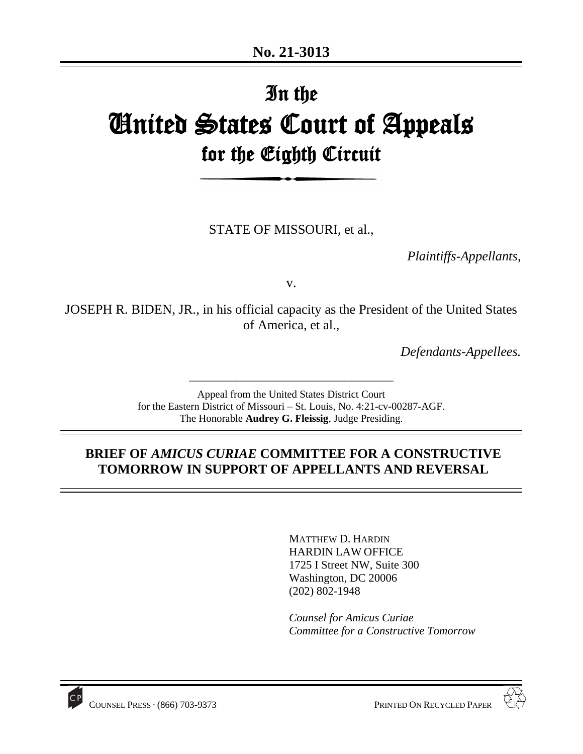# In the United States Court of Appeals for the Eighth Circuit

STATE OF MISSOURI, et al.,

*Plaintiffs-Appellants,*

v.

JOSEPH R. BIDEN, JR., in his official capacity as the President of the United States of America, et al.,

*Defendants-Appellees.*

Appeal from the United States District Court for the Eastern District of Missouri – St. Louis, No. 4:21-cv-00287-AGF. The Honorable **Audrey G. Fleissig**, Judge Presiding.

\_\_\_\_\_\_\_\_\_\_\_\_\_\_\_\_\_\_\_\_\_\_\_\_\_\_\_\_\_\_\_\_\_\_\_\_\_\_\_

## **BRIEF OF** *AMICUS CURIAE* **COMMITTEE FOR A CONSTRUCTIVE TOMORROW IN SUPPORT OF APPELLANTS AND REVERSAL**

MATTHEW D. HARDIN HARDIN LAW OFFICE 1725 I Street NW, Suite 300 Washington, DC 20006 (202) 802-1948



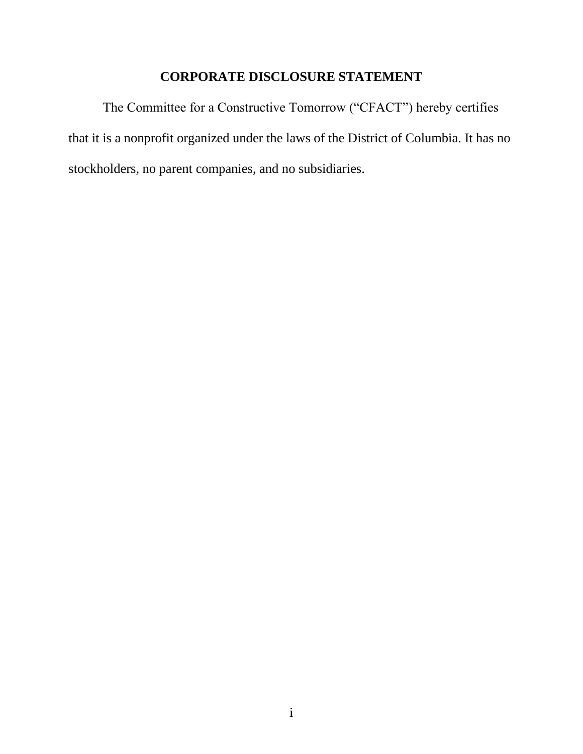## **CORPORATE DISCLOSURE STATEMENT**

The Committee for a Constructive Tomorrow ("CFACT") hereby certifies that it is a nonprofit organized under the laws of the District of Columbia. It has no stockholders, no parent companies, and no subsidiaries.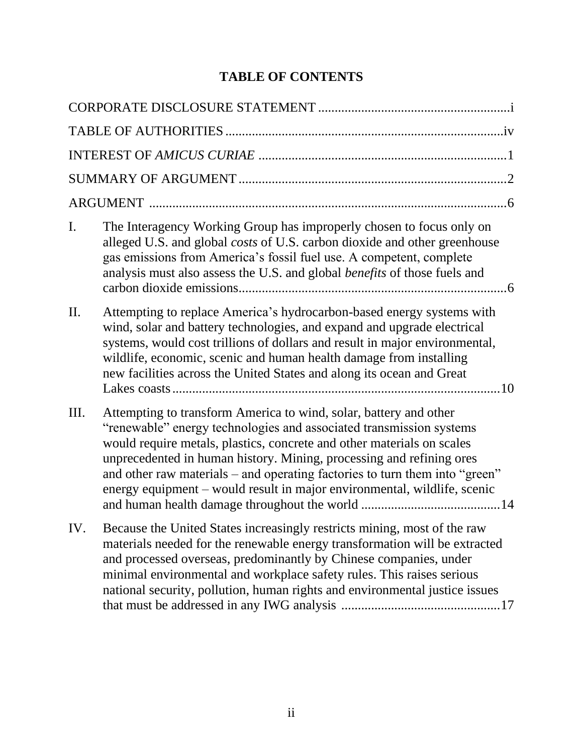# **TABLE OF CONTENTS**

| $\mathbf{I}$ . | The Interagency Working Group has improperly chosen to focus only on<br>alleged U.S. and global costs of U.S. carbon dioxide and other greenhouse<br>gas emissions from America's fossil fuel use. A competent, complete<br>analysis must also assess the U.S. and global <i>benefits</i> of those fuels and                                                                                                                                          |
|----------------|-------------------------------------------------------------------------------------------------------------------------------------------------------------------------------------------------------------------------------------------------------------------------------------------------------------------------------------------------------------------------------------------------------------------------------------------------------|
| II.            | Attempting to replace America's hydrocarbon-based energy systems with<br>wind, solar and battery technologies, and expand and upgrade electrical<br>systems, would cost trillions of dollars and result in major environmental,<br>wildlife, economic, scenic and human health damage from installing<br>new facilities across the United States and along its ocean and Great                                                                        |
| Ш.             | Attempting to transform America to wind, solar, battery and other<br>"renewable" energy technologies and associated transmission systems<br>would require metals, plastics, concrete and other materials on scales<br>unprecedented in human history. Mining, processing and refining ores<br>and other raw materials – and operating factories to turn them into "green"<br>energy equipment – would result in major environmental, wildlife, scenic |
| IV.            | Because the United States increasingly restricts mining, most of the raw<br>materials needed for the renewable energy transformation will be extracted<br>and processed overseas, predominantly by Chinese companies, under<br>minimal environmental and workplace safety rules. This raises serious<br>national security, pollution, human rights and environmental justice issues                                                                   |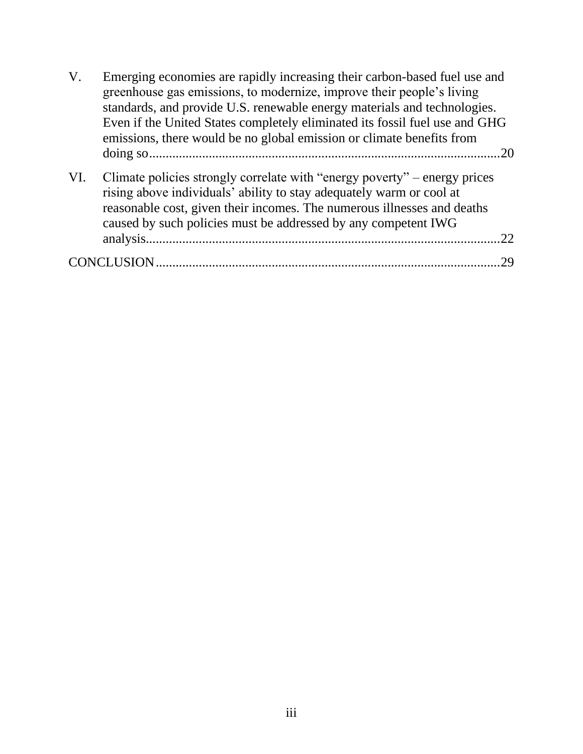| $V_{\cdot}$ | Emerging economies are rapidly increasing their carbon-based fuel use and<br>greenhouse gas emissions, to modernize, improve their people's living<br>standards, and provide U.S. renewable energy materials and technologies.<br>Even if the United States completely eliminated its fossil fuel use and GHG<br>emissions, there would be no global emission or climate benefits from<br>.20 |  |
|-------------|-----------------------------------------------------------------------------------------------------------------------------------------------------------------------------------------------------------------------------------------------------------------------------------------------------------------------------------------------------------------------------------------------|--|
| VI.         | Climate policies strongly correlate with "energy poverty" – energy prices<br>rising above individuals' ability to stay adequately warm or cool at<br>reasonable cost, given their incomes. The numerous illnesses and deaths<br>caused by such policies must be addressed by any competent IWG<br>22                                                                                          |  |
|             | 29                                                                                                                                                                                                                                                                                                                                                                                            |  |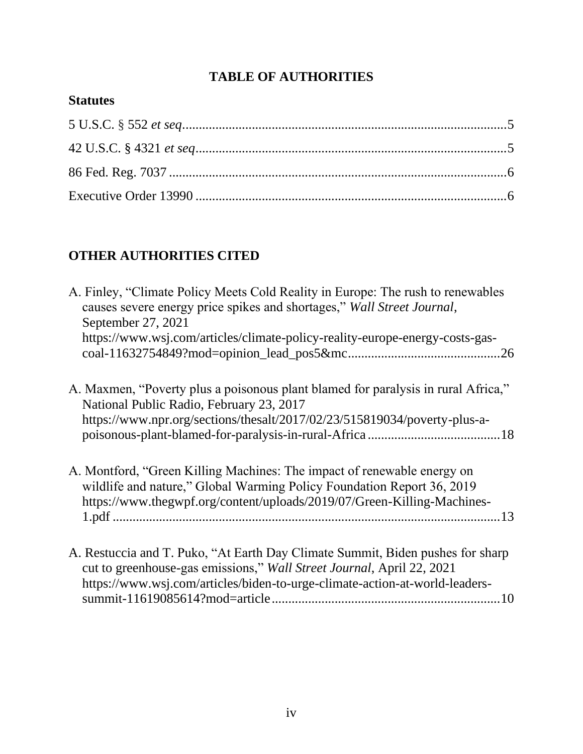## **TABLE OF AUTHORITIES**

### **Statutes**

# **OTHER AUTHORITIES CITED**

| A. Finley, "Climate Policy Meets Cold Reality in Europe: The rush to renewables<br>causes severe energy price spikes and shortages," Wall Street Journal,<br>September 27, 2021<br>https://www.wsj.com/articles/climate-policy-reality-europe-energy-costs-gas-<br>.26 |
|------------------------------------------------------------------------------------------------------------------------------------------------------------------------------------------------------------------------------------------------------------------------|
| A. Maxmen, "Poverty plus a poisonous plant blamed for paralysis in rural Africa,"<br>National Public Radio, February 23, 2017<br>https://www.npr.org/sections/thesalt/2017/02/23/515819034/poverty-plus-a-                                                             |
| A. Montford, "Green Killing Machines: The impact of renewable energy on<br>wildlife and nature," Global Warming Policy Foundation Report 36, 2019<br>https://www.thegwpf.org/content/uploads/2019/07/Green-Killing-Machines-                                           |
| A. Restuccia and T. Puko, "At Earth Day Climate Summit, Biden pushes for sharp<br>cut to greenhouse-gas emissions," Wall Street Journal, April 22, 2021<br>https://www.wsj.com/articles/biden-to-urge-climate-action-at-world-leaders-                                 |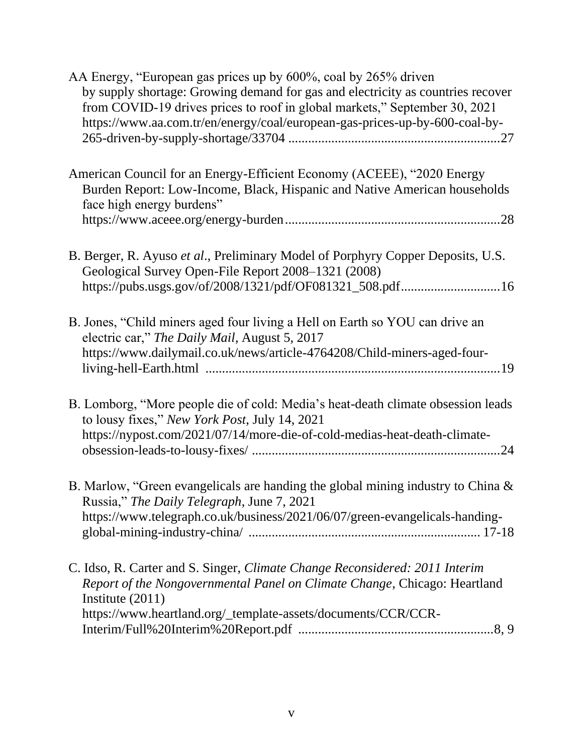| AA Energy, "European gas prices up by 600%, coal by 265% driven                                                                                                                                                                              |
|----------------------------------------------------------------------------------------------------------------------------------------------------------------------------------------------------------------------------------------------|
| by supply shortage: Growing demand for gas and electricity as countries recover<br>from COVID-19 drives prices to roof in global markets," September 30, 2021<br>https://www.aa.com.tr/en/energy/coal/european-gas-prices-up-by-600-coal-by- |
|                                                                                                                                                                                                                                              |
| American Council for an Energy-Efficient Economy (ACEEE), "2020 Energy<br>Burden Report: Low-Income, Black, Hispanic and Native American households<br>face high energy burdens"                                                             |
|                                                                                                                                                                                                                                              |
| B. Berger, R. Ayuso et al., Preliminary Model of Porphyry Copper Deposits, U.S.<br>Geological Survey Open-File Report 2008-1321 (2008)                                                                                                       |
| https://pubs.usgs.gov/of/2008/1321/pdf/OF081321_508.pdf16                                                                                                                                                                                    |
| B. Jones, "Child miners aged four living a Hell on Earth so YOU can drive an<br>electric car," The Daily Mail, August 5, 2017                                                                                                                |
| https://www.dailymail.co.uk/news/article-4764208/Child-miners-aged-four-                                                                                                                                                                     |
| B. Lomborg, "More people die of cold: Media's heat-death climate obsession leads<br>to lousy fixes," New York Post, July 14, 2021                                                                                                            |
| https://nypost.com/2021/07/14/more-die-of-cold-medias-heat-death-climate-                                                                                                                                                                    |
| B. Marlow, "Green evangelicals are handing the global mining industry to China &<br>Russia," The Daily Telegraph, June 7, 2021                                                                                                               |
| https://www.telegraph.co.uk/business/2021/06/07/green-evangelicals-handing-                                                                                                                                                                  |
| C. Idso, R. Carter and S. Singer, Climate Change Reconsidered: 2011 Interim<br>Report of the Nongovernmental Panel on Climate Change, Chicago: Heartland                                                                                     |
| Institute $(2011)$                                                                                                                                                                                                                           |
| https://www.heartland.org/_template-assets/documents/CCR/CCR-                                                                                                                                                                                |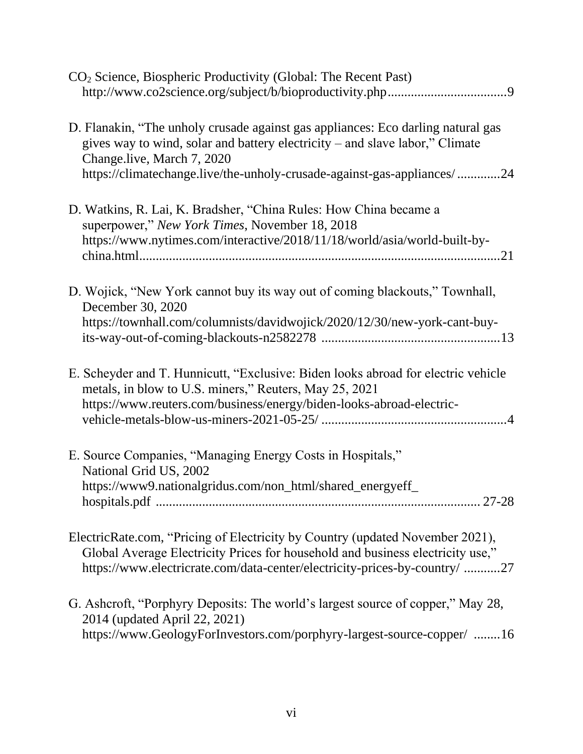| CO <sub>2</sub> Science, Biospheric Productivity (Global: The Recent Past)                                                                                                                                                                    |
|-----------------------------------------------------------------------------------------------------------------------------------------------------------------------------------------------------------------------------------------------|
| D. Flanakin, "The unholy crusade against gas appliances: Eco darling natural gas<br>gives way to wind, solar and battery electricity – and slave labor," Climate<br>Change.live, March 7, 2020                                                |
| https://climatechange.live/the-unholy-crusade-against-gas-appliances/24                                                                                                                                                                       |
| D. Watkins, R. Lai, K. Bradsher, "China Rules: How China became a<br>superpower," New York Times, November 18, 2018                                                                                                                           |
| https://www.nytimes.com/interactive/2018/11/18/world/asia/world-built-by-                                                                                                                                                                     |
| D. Wojick, "New York cannot buy its way out of coming blackouts," Townhall,<br>December 30, 2020                                                                                                                                              |
| https://townhall.com/columnists/davidwojick/2020/12/30/new-york-cant-buy-                                                                                                                                                                     |
| E. Scheyder and T. Hunnicutt, "Exclusive: Biden looks abroad for electric vehicle<br>metals, in blow to U.S. miners," Reuters, May 25, 2021<br>https://www.reuters.com/business/energy/biden-looks-abroad-electric-                           |
| E. Source Companies, "Managing Energy Costs in Hospitals,"<br>National Grid US, 2002                                                                                                                                                          |
| https://www9.nationalgridus.com/non_html/shared_energyeff_                                                                                                                                                                                    |
| ElectricRate.com, "Pricing of Electricity by Country (updated November 2021),<br>Global Average Electricity Prices for household and business electricity use,"<br>https://www.electricrate.com/data-center/electricity-prices-by-country/ 27 |
| G. Ashcroft, "Porphyry Deposits: The world's largest source of copper," May 28,<br>2014 (updated April 22, 2021)<br>https://www.GeologyForInvestors.com/porphyry-largest-source-copper/ 16                                                    |
|                                                                                                                                                                                                                                               |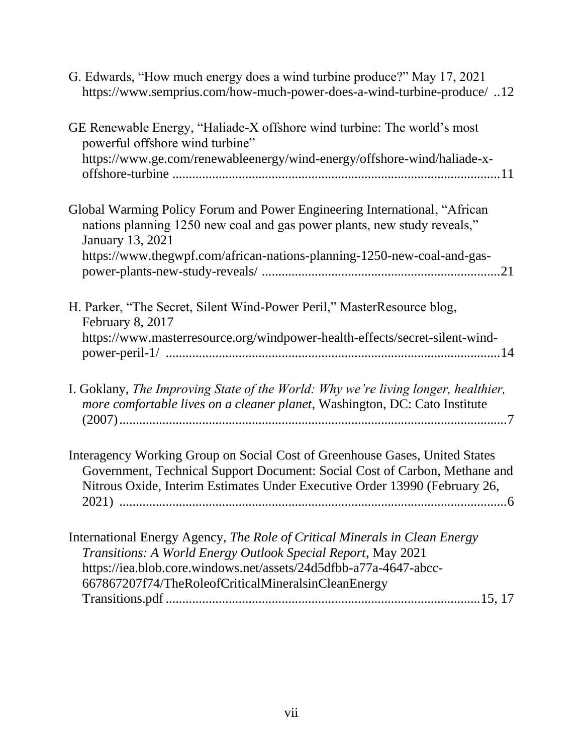| G. Edwards, "How much energy does a wind turbine produce?" May 17, 2021<br>https://www.semprius.com/how-much-power-does-a-wind-turbine-produce/12                                                                                                           |
|-------------------------------------------------------------------------------------------------------------------------------------------------------------------------------------------------------------------------------------------------------------|
| GE Renewable Energy, "Haliade-X offshore wind turbine: The world's most<br>powerful offshore wind turbine"<br>https://www.ge.com/renewableenergy/wind-energy/offshore-wind/haliade-x-                                                                       |
| Global Warming Policy Forum and Power Engineering International, "African<br>nations planning 1250 new coal and gas power plants, new study reveals,"<br><b>January 13, 2021</b><br>https://www.thegwpf.com/african-nations-planning-1250-new-coal-and-gas- |
| H. Parker, "The Secret, Silent Wind-Power Peril," MasterResource blog,<br>February 8, 2017<br>https://www.masterresource.org/windpower-health-effects/secret-silent-wind-                                                                                   |
| I. Goklany, The Improving State of the World: Why we're living longer, healthier,<br>more comfortable lives on a cleaner planet, Washington, DC: Cato Institute                                                                                             |
| Interagency Working Group on Social Cost of Greenhouse Gases, United States<br>Government, Technical Support Document: Social Cost of Carbon, Methane and<br>Nitrous Oxide, Interim Estimates Under Executive Order 13990 (February 26,                     |
| International Energy Agency, The Role of Critical Minerals in Clean Energy<br>Transitions: A World Energy Outlook Special Report, May 2021<br>https://iea.blob.core.windows.net/assets/24d5dfbb-a77a-4647-abcc-                                             |

Transitions.pdf ...............................................................................................15, 17

667867207f74/TheRoleofCriticalMineralsinCleanEnergy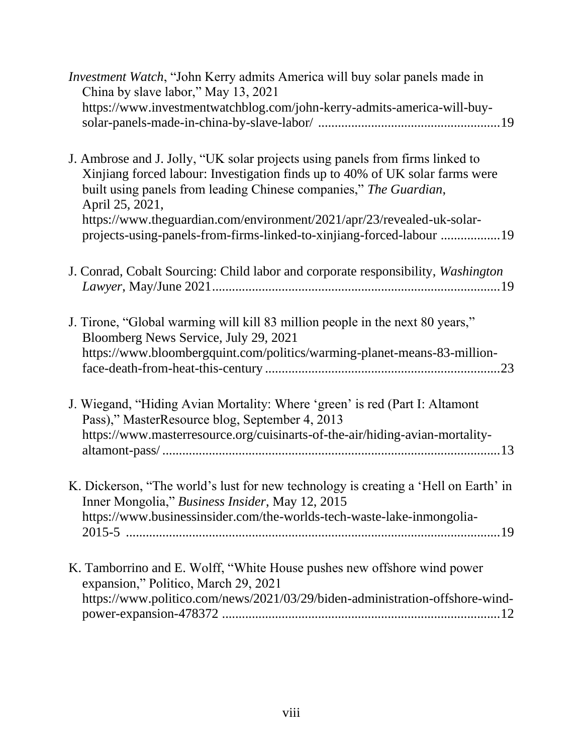| Investment Watch, "John Kerry admits America will buy solar panels made in<br>China by slave labor," May 13, 2021                                                                                                                                                                                                                                                                                       |
|---------------------------------------------------------------------------------------------------------------------------------------------------------------------------------------------------------------------------------------------------------------------------------------------------------------------------------------------------------------------------------------------------------|
| https://www.investmentwatchblog.com/john-kerry-admits-america-will-buy-                                                                                                                                                                                                                                                                                                                                 |
| J. Ambrose and J. Jolly, "UK solar projects using panels from firms linked to<br>Xinjiang forced labour: Investigation finds up to 40% of UK solar farms were<br>built using panels from leading Chinese companies," The Guardian,<br>April 25, 2021,<br>https://www.theguardian.com/environment/2021/apr/23/revealed-uk-solar-<br>projects-using-panels-from-firms-linked-to-xinjiang-forced-labour 19 |
| J. Conrad, Cobalt Sourcing: Child labor and corporate responsibility, Washington                                                                                                                                                                                                                                                                                                                        |
| J. Tirone, "Global warming will kill 83 million people in the next 80 years,"<br>Bloomberg News Service, July 29, 2021<br>https://www.bloombergquint.com/politics/warming-planet-means-83-million-                                                                                                                                                                                                      |
| J. Wiegand, "Hiding Avian Mortality: Where 'green' is red (Part I: Altamont<br>Pass)," MasterResource blog, September 4, 2013<br>https://www.masterresource.org/cuisinarts-of-the-air/hiding-avian-mortality-                                                                                                                                                                                           |
| K. Dickerson, "The world's lust for new technology is creating a 'Hell on Earth' in<br>Inner Mongolia," Business Insider, May 12, 2015<br>https://www.businessinsider.com/the-worlds-tech-waste-lake-inmongolia-                                                                                                                                                                                        |
| K. Tamborrino and E. Wolff, "White House pushes new offshore wind power<br>expansion," Politico, March 29, 2021<br>https://www.politico.com/news/2021/03/29/biden-administration-offshore-wind-                                                                                                                                                                                                         |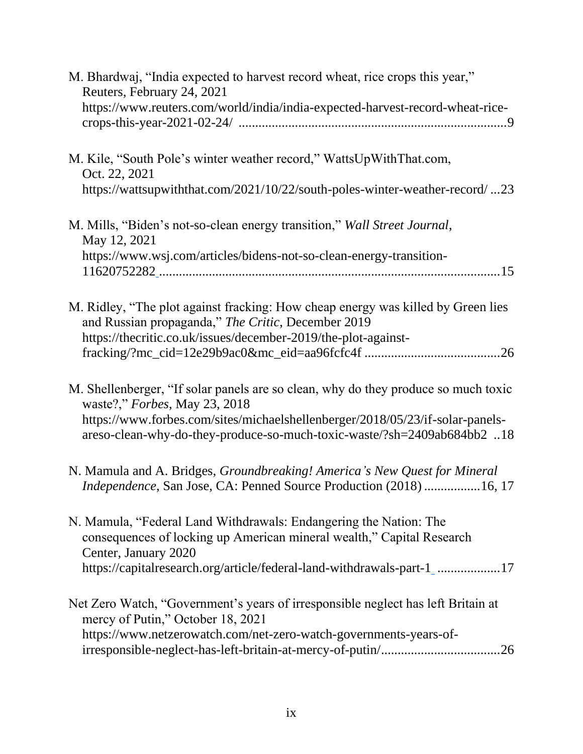| M. Bhardwaj, "India expected to harvest record wheat, rice crops this year,"<br>Reuters, February 24, 2021                                               |
|----------------------------------------------------------------------------------------------------------------------------------------------------------|
| https://www.reuters.com/world/india/india-expected-harvest-record-wheat-rice-                                                                            |
| M. Kile, "South Pole's winter weather record," WattsUpWithThat.com,<br>Oct. 22, 2021                                                                     |
| https://wattsupwiththat.com/2021/10/22/south-poles-winter-weather-record/23                                                                              |
| M. Mills, "Biden's not-so-clean energy transition," Wall Street Journal,<br>May 12, 2021                                                                 |
| https://www.wsj.com/articles/bidens-not-so-clean-energy-transition-                                                                                      |
|                                                                                                                                                          |
| M. Ridley, "The plot against fracking: How cheap energy was killed by Green lies<br>and Russian propaganda," The Critic, December 2019                   |
| https://thecritic.co.uk/issues/december-2019/the-plot-against-                                                                                           |
|                                                                                                                                                          |
| M. Shellenberger, "If solar panels are so clean, why do they produce so much toxic<br>waste?," Forbes, May 23, 2018                                      |
| https://www.forbes.com/sites/michaelshellenberger/2018/05/23/if-solar-panels-<br>areso-clean-why-do-they-produce-so-much-toxic-waste/?sh=2409ab684bb2 18 |
| N. Mamula and A. Bridges, Groundbreaking! America's New Quest for Mineral<br>Independence, San Jose, CA: Penned Source Production (2018) 16, 17          |
| N. Mamula, "Federal Land Withdrawals: Endangering the Nation: The                                                                                        |
| consequences of locking up American mineral wealth," Capital Research<br>Center, January 2020                                                            |
| https://capitalresearch.org/article/federal-land-withdrawals-part-1_17                                                                                   |
| Net Zero Watch, "Government's years of irresponsible neglect has left Britain at<br>mercy of Putin," October 18, 2021                                    |
| https://www.netzerowatch.com/net-zero-watch-governments-years-of-                                                                                        |
|                                                                                                                                                          |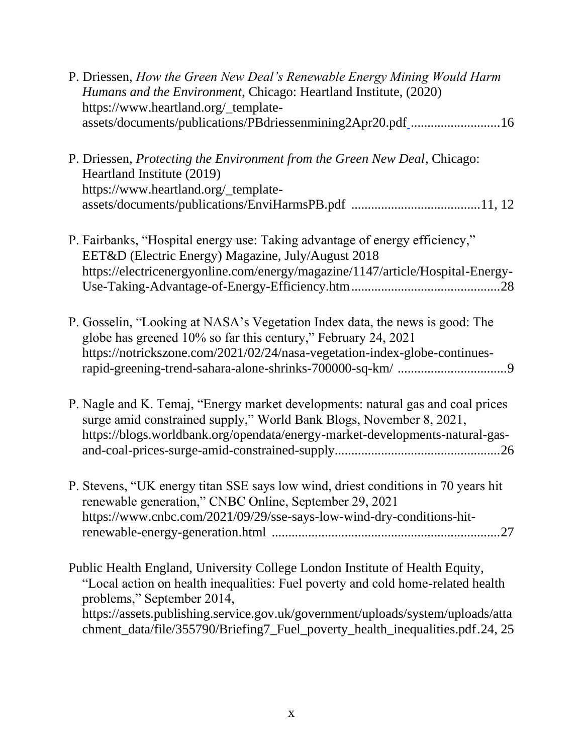| P. Driessen, How the Green New Deal's Renewable Energy Mining Would Harm<br>Humans and the Environment, Chicago: Heartland Institute, (2020)<br>https://www.heartland.org/_template-<br>assets/documents/publications/PBdriessenmining2Apr20.pdf_16                                                                                                               |  |
|-------------------------------------------------------------------------------------------------------------------------------------------------------------------------------------------------------------------------------------------------------------------------------------------------------------------------------------------------------------------|--|
| P. Driessen, Protecting the Environment from the Green New Deal, Chicago:<br>Heartland Institute (2019)<br>https://www.heartland.org/_template-                                                                                                                                                                                                                   |  |
| P. Fairbanks, "Hospital energy use: Taking advantage of energy efficiency,"<br>EET&D (Electric Energy) Magazine, July/August 2018<br>https://electricenergyonline.com/energy/magazine/1147/article/Hospital-Energy-                                                                                                                                               |  |
| P. Gosselin, "Looking at NASA's Vegetation Index data, the news is good: The<br>globe has greened 10% so far this century," February 24, 2021<br>https://notrickszone.com/2021/02/24/nasa-vegetation-index-globe-continues-                                                                                                                                       |  |
| P. Nagle and K. Temaj, "Energy market developments: natural gas and coal prices<br>surge amid constrained supply," World Bank Blogs, November 8, 2021,<br>https://blogs.worldbank.org/opendata/energy-market-developments-natural-gas-                                                                                                                            |  |
| P. Stevens, "UK energy titan SSE says low wind, driest conditions in 70 years hit<br>renewable generation," CNBC Online, September 29, 2021<br>https://www.cnbc.com/2021/09/29/sse-says-low-wind-dry-conditions-hit-                                                                                                                                              |  |
| Public Health England, University College London Institute of Health Equity,<br>"Local action on health inequalities: Fuel poverty and cold home-related health<br>problems," September 2014,<br>https://assets.publishing.service.gov.uk/government/uploads/system/uploads/atta<br>chment_data/file/355790/Briefing7_Fuel_poverty_health_inequalities.pdf.24, 25 |  |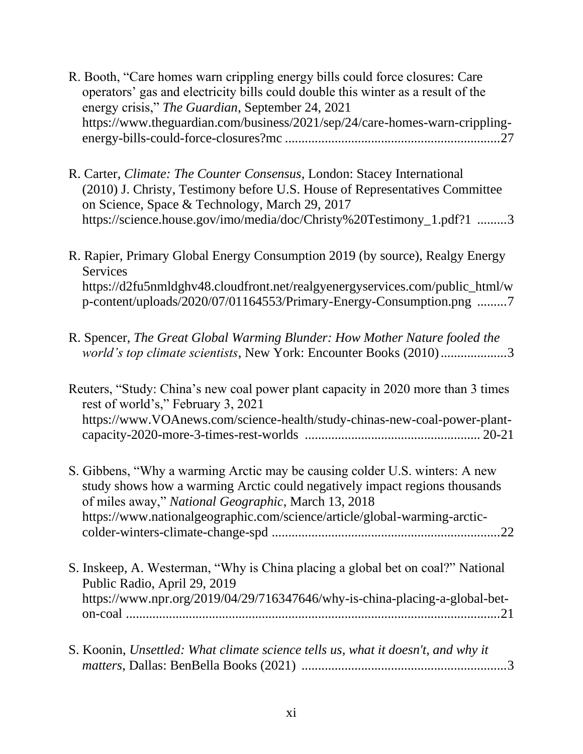- R. Booth, "Care homes warn crippling energy bills could force closures: Care operators' gas and electricity bills could double this winter as a result of the energy crisis," *The Guardian*, September 24, 2021 https://www.theguardian.com/business/2021/sep/24/care-homes-warn-cripplingenergy-bills-could-force-closures?mc .................................................................27
- R. Carter, *Climate: The Counter Consensus*, London: Stacey International (2010) J. Christy, Testimony before U.S. House of Representatives Committee on Science, Space & Technology, March 29, 2017 https://science.house.gov/imo/media/doc/Christy%20Testimony\_1.pdf?1 .........3
- R. Rapier, Primary Global Energy Consumption 2019 (by source), Realgy Energy Services https://d2fu5nmldghv48.cloudfront.net/realgyenergyservices.com/public\_html/w p-content/uploads/2020/07/01164553/Primary-Energy-Consumption.png .........7
- R. Spencer, *The Great Global Warming Blunder: How Mother Nature fooled the world's top climate scientists*, New York: Encounter Books (2010)....................3

| Reuters, "Study: China's new coal power plant capacity in 2020 more than 3 times |  |
|----------------------------------------------------------------------------------|--|
| rest of world's," February 3, 2021                                               |  |
| https://www.VOAnews.com/science-health/study-chinas-new-coal-power-plant-        |  |
|                                                                                  |  |

- S. Gibbens, "Why a warming Arctic may be causing colder U.S. winters: A new study shows how a warming Arctic could negatively impact regions thousands of miles away," *National Geographic*, March 13, 2018 https://www.nationalgeographic.com/science/article/global-warming-arcticcolder-winters-climate-change-spd .....................................................................22
- S. Inskeep, A. Westerman, "Why is China placing a global bet on coal?" National Public Radio, April 29, 2019 https://www.npr.org/2019/04/29/716347646/why-is-china-placing-a-global-beton-coal .................................................................................................................21
- S. Koonin, *Unsettled: What climate science tells us, what it doesn't, and why it matters*, Dallas: BenBella Books (2021) ..............................................................3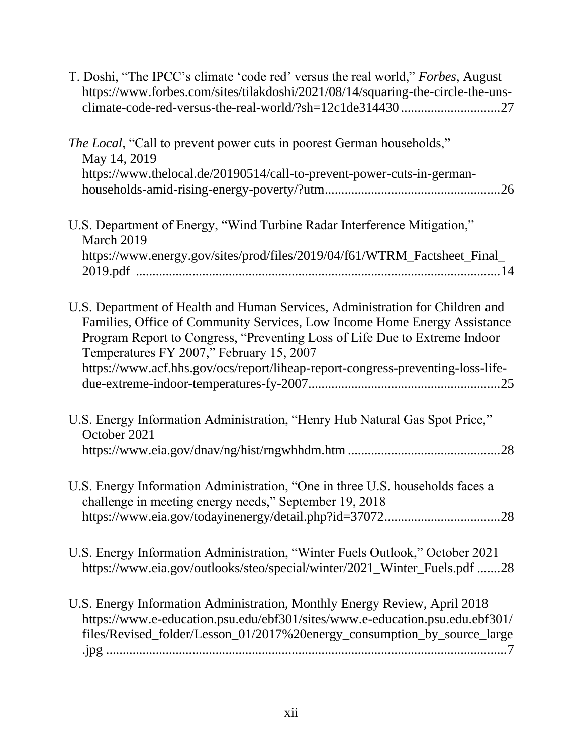| T. Doshi, "The IPCC's climate 'code red' versus the real world," Forbes, August<br>https://www.forbes.com/sites/tilakdoshi/2021/08/14/squaring-the-circle-the-uns-<br>climate-code-red-versus-the-real-world/?sh=12c1de31443027                                                      |
|--------------------------------------------------------------------------------------------------------------------------------------------------------------------------------------------------------------------------------------------------------------------------------------|
| The Local, "Call to prevent power cuts in poorest German households,"<br>May 14, 2019                                                                                                                                                                                                |
| https://www.thelocal.de/20190514/call-to-prevent-power-cuts-in-german-                                                                                                                                                                                                               |
| U.S. Department of Energy, "Wind Turbine Radar Interference Mitigation,"<br>March 2019                                                                                                                                                                                               |
| https://www.energy.gov/sites/prod/files/2019/04/f61/WTRM_Factsheet_Final_                                                                                                                                                                                                            |
| U.S. Department of Health and Human Services, Administration for Children and<br>Families, Office of Community Services, Low Income Home Energy Assistance<br>Program Report to Congress, "Preventing Loss of Life Due to Extreme Indoor<br>Temperatures FY 2007," February 15, 2007 |
| https://www.acf.hhs.gov/ocs/report/liheap-report-congress-preventing-loss-life-                                                                                                                                                                                                      |
| U.S. Energy Information Administration, "Henry Hub Natural Gas Spot Price,"<br>October 2021                                                                                                                                                                                          |
|                                                                                                                                                                                                                                                                                      |
| U.S. Energy Information Administration, "One in three U.S. households faces a<br>challenge in meeting energy needs," September 19, 2018                                                                                                                                              |
|                                                                                                                                                                                                                                                                                      |
| U.S. Energy Information Administration, "Winter Fuels Outlook," October 2021<br>https://www.eia.gov/outlooks/steo/special/winter/2021_Winter_Fuels.pdf 28                                                                                                                            |
| U.S. Energy Information Administration, Monthly Energy Review, April 2018<br>https://www.e-education.psu.edu/ebf301/sites/www.e-education.psu.edu.ebf301/<br>files/Revised_folder/Lesson_01/2017%20energy_consumption_by_source_large                                                |
|                                                                                                                                                                                                                                                                                      |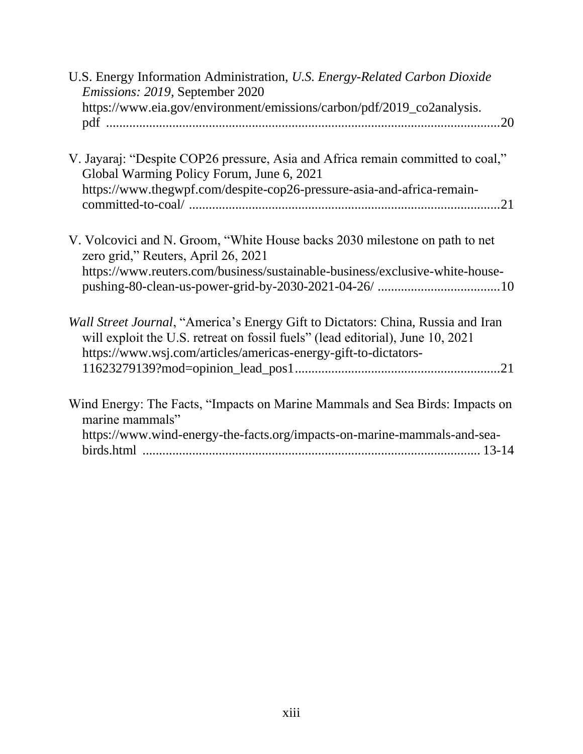| U.S. Energy Information Administration, U.S. Energy-Related Carbon Dioxide<br>Emissions: 2019, September 2020<br>https://www.eia.gov/environment/emissions/carbon/pdf/2019_co2analysis.                                               |
|---------------------------------------------------------------------------------------------------------------------------------------------------------------------------------------------------------------------------------------|
|                                                                                                                                                                                                                                       |
| V. Jayaraj: "Despite COP26 pressure, Asia and Africa remain committed to coal,"<br>Global Warming Policy Forum, June 6, 2021                                                                                                          |
| https://www.thegwpf.com/despite-cop26-pressure-asia-and-africa-remain-                                                                                                                                                                |
| V. Volcovici and N. Groom, "White House backs 2030 milestone on path to net<br>zero grid," Reuters, April 26, 2021                                                                                                                    |
| https://www.reuters.com/business/sustainable-business/exclusive-white-house-                                                                                                                                                          |
| Wall Street Journal, "America's Energy Gift to Dictators: China, Russia and Iran<br>will exploit the U.S. retreat on fossil fuels" (lead editorial), June 10, 2021<br>https://www.wsj.com/articles/americas-energy-gift-to-dictators- |
|                                                                                                                                                                                                                                       |
| Wind Energy: The Facts, "Impacts on Marine Mammals and Sea Birds: Impacts on<br>marine mammals"                                                                                                                                       |
| https://www.wind-energy-the-facts.org/impacts-on-marine-mammals-and-sea-                                                                                                                                                              |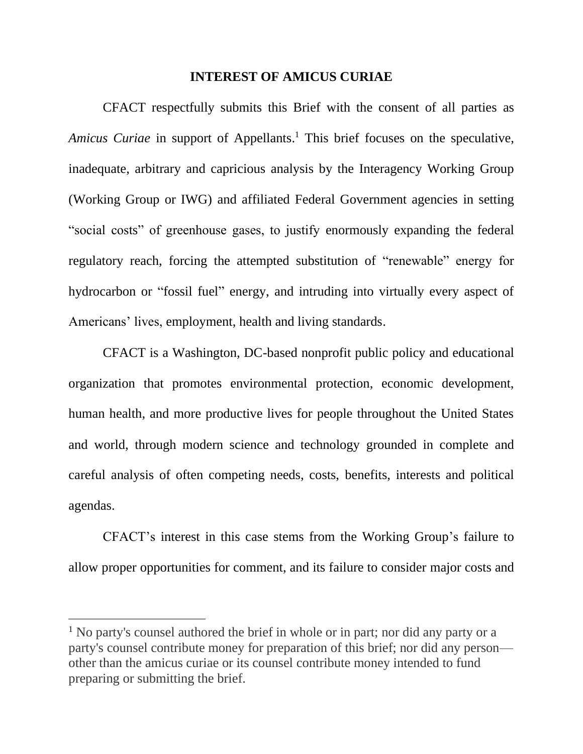#### **INTEREST OF AMICUS CURIAE**

CFACT respectfully submits this Brief with the consent of all parties as *Amicus Curiae* in support of Appellants. <sup>1</sup> This brief focuses on the speculative, inadequate, arbitrary and capricious analysis by the Interagency Working Group (Working Group or IWG) and affiliated Federal Government agencies in setting "social costs" of greenhouse gases, to justify enormously expanding the federal regulatory reach, forcing the attempted substitution of "renewable" energy for hydrocarbon or "fossil fuel" energy, and intruding into virtually every aspect of Americans' lives, employment, health and living standards.

CFACT is a Washington, DC-based nonprofit public policy and educational organization that promotes environmental protection, economic development, human health, and more productive lives for people throughout the United States and world, through modern science and technology grounded in complete and careful analysis of often competing needs, costs, benefits, interests and political agendas.

CFACT's interest in this case stems from the Working Group's failure to allow proper opportunities for comment, and its failure to consider major costs and

<sup>&</sup>lt;sup>1</sup> No party's counsel authored the brief in whole or in part; nor did any party or a party's counsel contribute money for preparation of this brief; nor did any person other than the amicus curiae or its counsel contribute money intended to fund preparing or submitting the brief.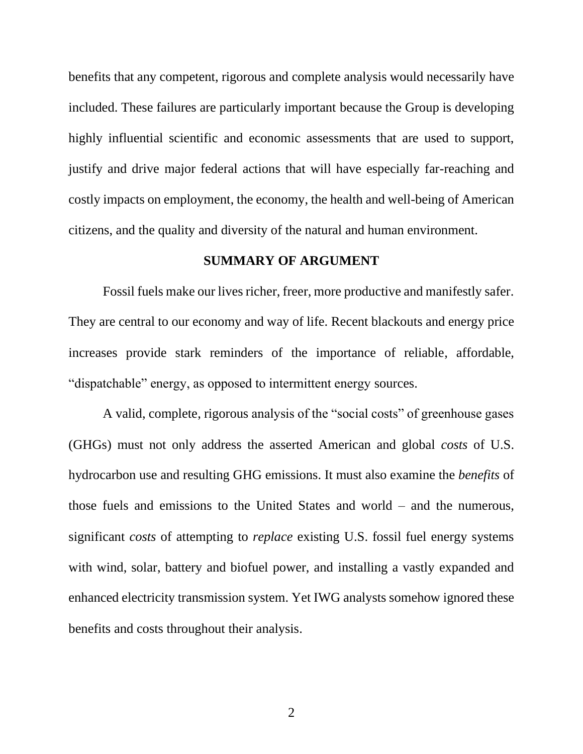benefits that any competent, rigorous and complete analysis would necessarily have included. These failures are particularly important because the Group is developing highly influential scientific and economic assessments that are used to support, justify and drive major federal actions that will have especially far-reaching and costly impacts on employment, the economy, the health and well-being of American citizens, and the quality and diversity of the natural and human environment.

#### **SUMMARY OF ARGUMENT**

Fossil fuels make our lives richer, freer, more productive and manifestly safer. They are central to our economy and way of life. Recent blackouts and energy price increases provide stark reminders of the importance of reliable, affordable, "dispatchable" energy, as opposed to intermittent energy sources.

A valid, complete, rigorous analysis of the "social costs" of greenhouse gases (GHGs) must not only address the asserted American and global *costs* of U.S. hydrocarbon use and resulting GHG emissions. It must also examine the *benefits* of those fuels and emissions to the United States and world – and the numerous, significant *costs* of attempting to *replace* existing U.S. fossil fuel energy systems with wind, solar, battery and biofuel power, and installing a vastly expanded and enhanced electricity transmission system. Yet IWG analysts somehow ignored these benefits and costs throughout their analysis.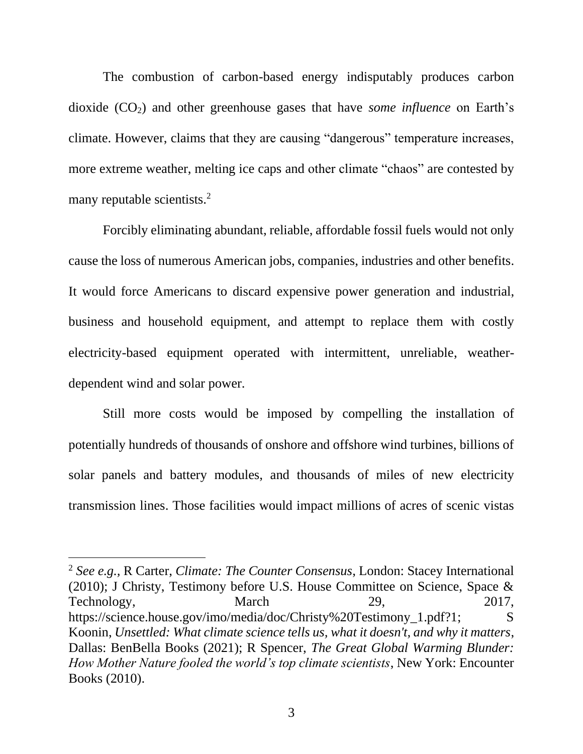The combustion of carbon-based energy indisputably produces carbon dioxide (CO<sub>2</sub>) and other greenhouse gases that have *some influence* on Earth's climate. However, claims that they are causing "dangerous" temperature increases, more extreme weather, melting ice caps and other climate "chaos" are contested by many reputable scientists.<sup>2</sup>

Forcibly eliminating abundant, reliable, affordable fossil fuels would not only cause the loss of numerous American jobs, companies, industries and other benefits. It would force Americans to discard expensive power generation and industrial, business and household equipment, and attempt to replace them with costly electricity-based equipment operated with intermittent, unreliable, weatherdependent wind and solar power.

Still more costs would be imposed by compelling the installation of potentially hundreds of thousands of onshore and offshore wind turbines, billions of solar panels and battery modules, and thousands of miles of new electricity transmission lines. Those facilities would impact millions of acres of scenic vistas

<sup>2</sup> *See e.g.,* R Carter, *Climate: The Counter Consensus*, London: Stacey International (2010); J Christy, Testimony before U.S. House Committee on Science, Space & Technology, March 29, 2017, https://science.house.gov/imo/media/doc/Christy%20Testimony\_1.pdf?1; S Koonin, *Unsettled: What climate science tells us, what it doesn't, and why it matters*, Dallas: BenBella Books (2021); R Spencer, *The Great Global Warming Blunder: How Mother Nature fooled the world's top climate scientists*, New York: Encounter Books (2010).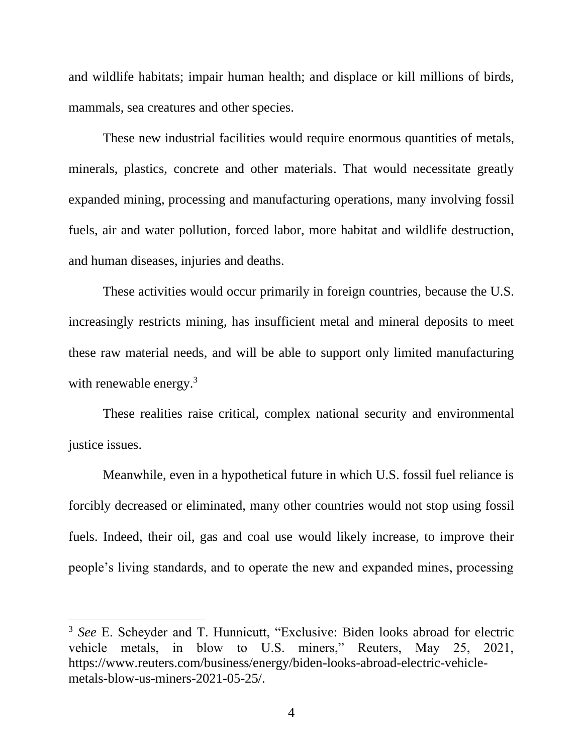and wildlife habitats; impair human health; and displace or kill millions of birds, mammals, sea creatures and other species.

These new industrial facilities would require enormous quantities of metals, minerals, plastics, concrete and other materials. That would necessitate greatly expanded mining, processing and manufacturing operations, many involving fossil fuels, air and water pollution, forced labor, more habitat and wildlife destruction, and human diseases, injuries and deaths.

These activities would occur primarily in foreign countries, because the U.S. increasingly restricts mining, has insufficient metal and mineral deposits to meet these raw material needs, and will be able to support only limited manufacturing with renewable energy.<sup>3</sup>

These realities raise critical, complex national security and environmental justice issues.

Meanwhile, even in a hypothetical future in which U.S. fossil fuel reliance is forcibly decreased or eliminated, many other countries would not stop using fossil fuels. Indeed, their oil, gas and coal use would likely increase, to improve their people's living standards, and to operate the new and expanded mines, processing

<sup>3</sup> *See* E. Scheyder and T. Hunnicutt, "Exclusive: Biden looks abroad for electric vehicle metals, in blow to U.S. miners," Reuters, May 25, 2021, https://www.reuters.com/business/energy/biden-looks-abroad-electric-vehiclemetals-blow-us-miners-2021-05-25/.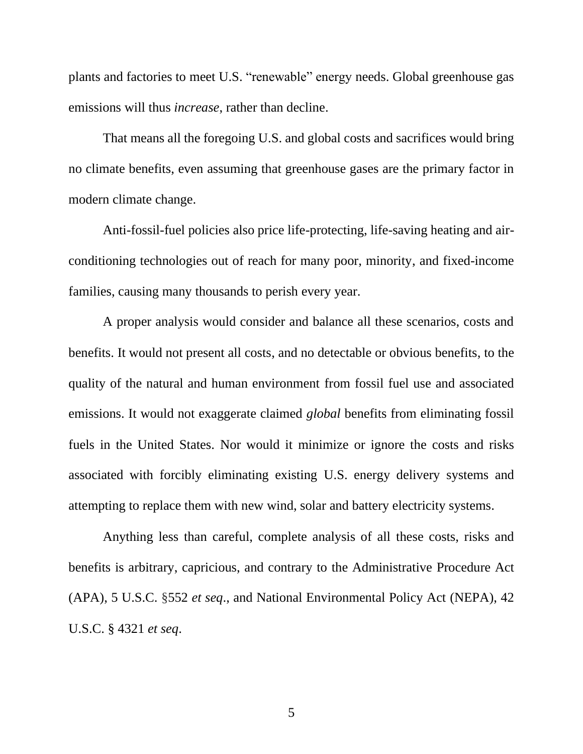plants and factories to meet U.S. "renewable" energy needs. Global greenhouse gas emissions will thus *increase*, rather than decline.

That means all the foregoing U.S. and global costs and sacrifices would bring no climate benefits, even assuming that greenhouse gases are the primary factor in modern climate change.

Anti-fossil-fuel policies also price life-protecting, life-saving heating and airconditioning technologies out of reach for many poor, minority, and fixed-income families, causing many thousands to perish every year.

A proper analysis would consider and balance all these scenarios, costs and benefits. It would not present all costs, and no detectable or obvious benefits, to the quality of the natural and human environment from fossil fuel use and associated emissions. It would not exaggerate claimed *global* benefits from eliminating fossil fuels in the United States. Nor would it minimize or ignore the costs and risks associated with forcibly eliminating existing U.S. energy delivery systems and attempting to replace them with new wind, solar and battery electricity systems.

Anything less than careful, complete analysis of all these costs, risks and benefits is arbitrary, capricious, and contrary to the Administrative Procedure Act (APA), 5 U.S.C. §552 *et seq*., and National Environmental Policy Act (NEPA), 42 U.S.C. § 4321 *et seq*.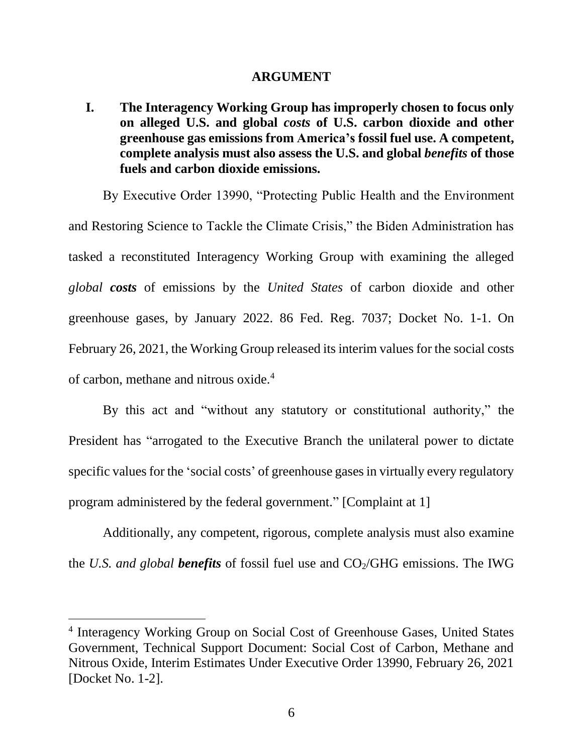#### **ARGUMENT**

**I. The Interagency Working Group has improperly chosen to focus only on alleged U.S. and global** *costs* **of U.S. carbon dioxide and other greenhouse gas emissions from America's fossil fuel use. A competent, complete analysis must also assess the U.S. and global** *benefits* **of those fuels and carbon dioxide emissions.** 

By Executive Order 13990, "Protecting Public Health and the Environment and Restoring Science to Tackle the Climate Crisis," the Biden Administration has tasked a reconstituted Interagency Working Group with examining the alleged *global costs* of emissions by the *United States* of carbon dioxide and other greenhouse gases, by January 2022. 86 Fed. Reg. 7037; Docket No. 1-1. On February 26, 2021, the Working Group released its interim values for the social costs of carbon, methane and nitrous oxide.<sup>4</sup>

By this act and "without any statutory or constitutional authority," the President has "arrogated to the Executive Branch the unilateral power to dictate specific values for the 'social costs' of greenhouse gases in virtually every regulatory program administered by the federal government." [Complaint at 1]

Additionally, any competent, rigorous, complete analysis must also examine the *U.S. and global benefits* of fossil fuel use and  $CO<sub>2</sub>/GHG$  emissions. The IWG

<sup>4</sup> Interagency Working Group on Social Cost of Greenhouse Gases, United States Government, Technical Support Document: Social Cost of Carbon, Methane and Nitrous Oxide, Interim Estimates Under Executive Order 13990, February 26, 2021 [Docket No. 1-2].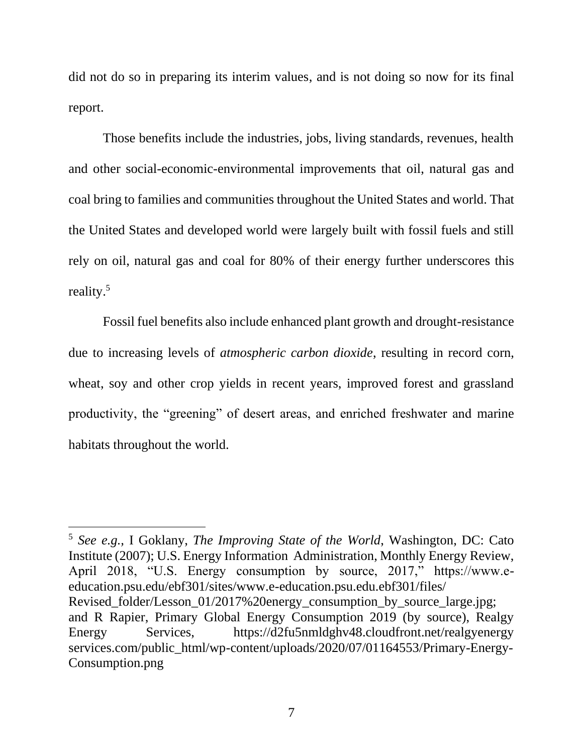did not do so in preparing its interim values, and is not doing so now for its final report.

Those benefits include the industries, jobs, living standards, revenues, health and other social-economic-environmental improvements that oil, natural gas and coal bring to families and communities throughout the United States and world. That the United States and developed world were largely built with fossil fuels and still rely on oil, natural gas and coal for 80% of their energy further underscores this reality.<sup>5</sup>

Fossil fuel benefits also include enhanced plant growth and drought-resistance due to increasing levels of *atmospheric carbon dioxide*, resulting in record corn, wheat, soy and other crop yields in recent years, improved forest and grassland productivity, the "greening" of desert areas, and enriched freshwater and marine habitats throughout the world.

<sup>5</sup> *See e.g.,* I Goklany, *The Improving State of the World*, Washington, DC: Cato Institute (2007); U.S. Energy Information Administration, Monthly Energy Review, April 2018, "U.S. Energy consumption by source, 2017," https://www.eeducation.psu.edu/ebf301/sites/www.e-education.psu.edu.ebf301/files/ Revised folder/Lesson 01/2017%20energy consumption by source large.jpg; and R Rapier, Primary Global Energy Consumption 2019 (by source), Realgy Energy Services, https://d2fu5nmldghv48.cloudfront.net/realgyenergy services.com/public\_html/wp-content/uploads/2020/07/01164553/Primary-Energy-Consumption.png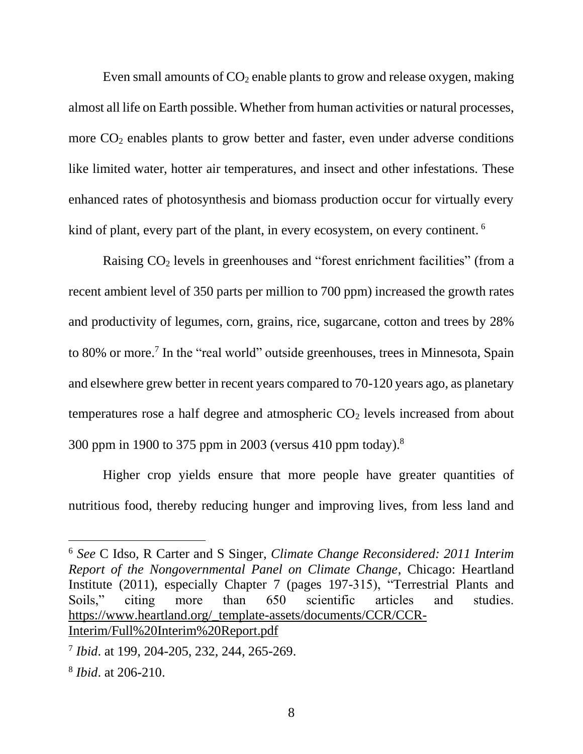Even small amounts of  $CO<sub>2</sub>$  enable plants to grow and release oxygen, making almost all life on Earth possible. Whether from human activities or natural processes, more  $CO<sub>2</sub>$  enables plants to grow better and faster, even under adverse conditions like limited water, hotter air temperatures, and insect and other infestations. These enhanced rates of photosynthesis and biomass production occur for virtually every kind of plant, every part of the plant, in every ecosystem, on every continent. <sup>6</sup>

Raising CO<sub>2</sub> levels in greenhouses and "forest enrichment facilities" (from a recent ambient level of 350 parts per million to 700 ppm) increased the growth rates and productivity of legumes, corn, grains, rice, sugarcane, cotton and trees by 28% to 80% or more.<sup>7</sup> In the "real world" outside greenhouses, trees in Minnesota, Spain and elsewhere grew better in recent years compared to 70-120 years ago, as planetary temperatures rose a half degree and atmospheric  $CO<sub>2</sub>$  levels increased from about 300 ppm in 1900 to 375 ppm in 2003 (versus 410 ppm today).<sup>8</sup>

Higher crop yields ensure that more people have greater quantities of nutritious food, thereby reducing hunger and improving lives, from less land and

<sup>6</sup> *See* C Idso, R Carter and S Singer, *Climate Change Reconsidered: 2011 Interim Report of the Nongovernmental Panel on Climate Change*, Chicago: Heartland Institute (2011), especially Chapter 7 (pages 197-315), "Terrestrial Plants and Soils," citing more than 650 scientific articles and studies. [https://www.heartland.org/\\_template-assets/documents/CCR/CCR-](https://www.heartland.org/_template-assets/documents/CCR/CCR-Interim/Full%20Interim%20Report.pdf)[Interim/Full%20Interim%20Report.pdf](https://www.heartland.org/_template-assets/documents/CCR/CCR-Interim/Full%20Interim%20Report.pdf)

<sup>7</sup> *Ibid*. at 199, 204-205, 232, 244, 265-269.

<sup>8</sup> *Ibid*. at 206-210.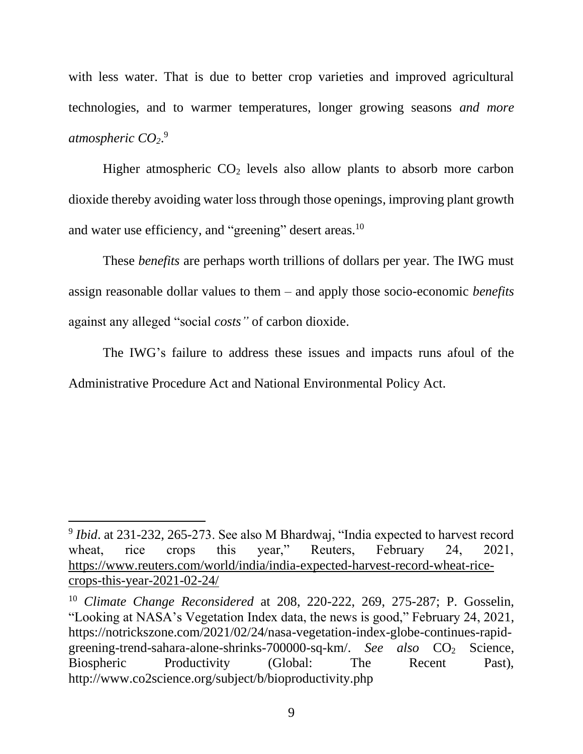with less water. That is due to better crop varieties and improved agricultural technologies, and to warmer temperatures, longer growing seasons *and more atmospheric CO2*. 9

Higher atmospheric  $CO<sub>2</sub>$  levels also allow plants to absorb more carbon dioxide thereby avoiding water loss through those openings, improving plant growth and water use efficiency, and "greening" desert areas.<sup>10</sup>

These *benefits* are perhaps worth trillions of dollars per year. The IWG must assign reasonable dollar values to them – and apply those socio-economic *benefits* against any alleged "social *costs"* of carbon dioxide.

The IWG's failure to address these issues and impacts runs afoul of the Administrative Procedure Act and National Environmental Policy Act.

<sup>&</sup>lt;sup>9</sup> Ibid. at 231-232, 265-273. See also M Bhardwaj, "India expected to harvest record wheat, rice crops this year," Reuters, February 24, 2021, [https://www.reuters.com/world/india/india-expected-harvest-record-wheat-rice](https://www.reuters.com/world/india/india-expected-harvest-record-wheat-rice-crops-this-year-2021-02-24/)[crops-this-year-2021-02-24/](https://www.reuters.com/world/india/india-expected-harvest-record-wheat-rice-crops-this-year-2021-02-24/)

<sup>10</sup> *Climate Change Reconsidered* at 208, 220-222, 269, 275-287; P. Gosselin, "Looking at NASA's Vegetation Index data, the news is good," February 24, 2021, https://notrickszone.com/2021/02/24/nasa-vegetation-index-globe-continues-rapidgreening-trend-sahara-alone-shrinks-700000-sq-km/. *See also* CO<sub>2</sub> Science, Biospheric Productivity (Global: The Recent Past), http://www.co2science.org/subject/b/bioproductivity.php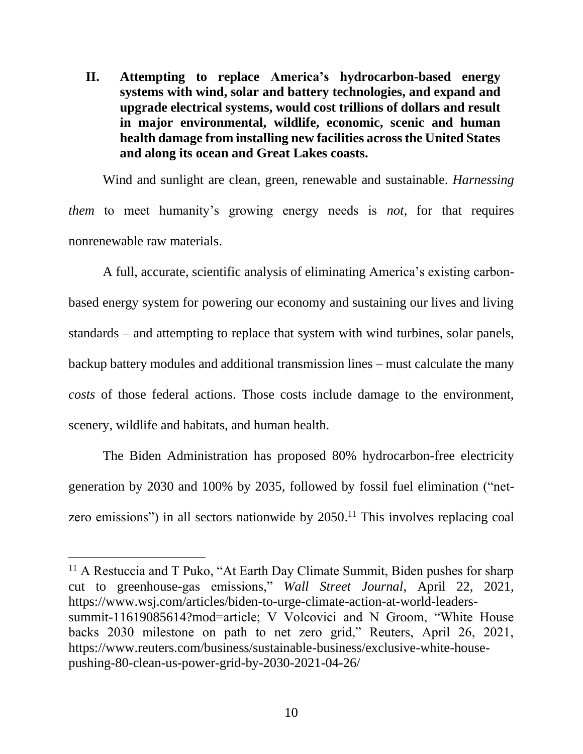**II. Attempting to replace America's hydrocarbon-based energy systems with wind, solar and battery technologies, and expand and upgrade electrical systems, would cost trillions of dollars and result in major environmental, wildlife, economic, scenic and human health damage from installing new facilities across the United States and along its ocean and Great Lakes coasts.** 

Wind and sunlight are clean, green, renewable and sustainable. *Harnessing them* to meet humanity's growing energy needs is *not*, for that requires nonrenewable raw materials.

A full, accurate, scientific analysis of eliminating America's existing carbonbased energy system for powering our economy and sustaining our lives and living standards – and attempting to replace that system with wind turbines, solar panels, backup battery modules and additional transmission lines – must calculate the many *costs* of those federal actions. Those costs include damage to the environment, scenery, wildlife and habitats, and human health.

The Biden Administration has proposed 80% hydrocarbon-free electricity generation by 2030 and 100% by 2035, followed by fossil fuel elimination ("netzero emissions") in all sectors nationwide by 2050.<sup>11</sup> This involves replacing coal

<sup>&</sup>lt;sup>11</sup> A Restuccia and T Puko, "At Earth Day Climate Summit, Biden pushes for sharp cut to greenhouse-gas emissions," *Wall Street Journal*, April 22, 2021, https://www.wsj.com/articles/biden-to-urge-climate-action-at-world-leaderssummit-11619085614?mod=article; V Volcovici and N Groom, "White House backs 2030 milestone on path to net zero grid," Reuters, April 26, 2021, https://www.reuters.com/business/sustainable-business/exclusive-white-housepushing-80-clean-us-power-grid-by-2030-2021-04-26/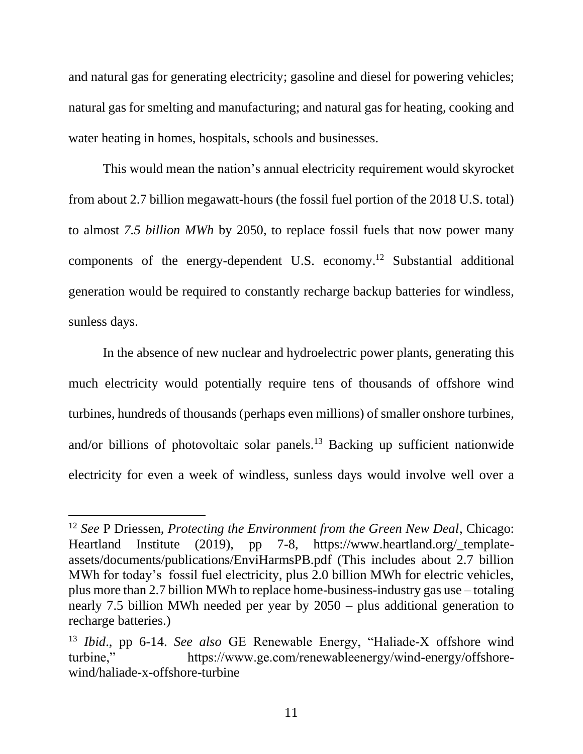and natural gas for generating electricity; gasoline and diesel for powering vehicles; natural gas for smelting and manufacturing; and natural gas for heating, cooking and water heating in homes, hospitals, schools and businesses.

This would mean the nation's annual electricity requirement would skyrocket from about 2.7 billion megawatt-hours (the fossil fuel portion of the 2018 U.S. total) to almost *7.5 billion MWh* by 2050, to replace fossil fuels that now power many components of the energy-dependent U.S. economy. <sup>12</sup> Substantial additional generation would be required to constantly recharge backup batteries for windless, sunless days.

In the absence of new nuclear and hydroelectric power plants, generating this much electricity would potentially require tens of thousands of offshore wind turbines, hundreds of thousands (perhaps even millions) of smaller onshore turbines, and/or billions of photovoltaic solar panels.<sup>13</sup> Backing up sufficient nationwide electricity for even a week of windless, sunless days would involve well over a

<sup>12</sup> *See* P Driessen, *Protecting the Environment from the Green New Deal*, Chicago: Heartland Institute (2019), pp 7-8, https://www.heartland.org/\_templateassets/documents/publications/EnviHarmsPB.pdf (This includes about 2.7 billion MWh for today's fossil fuel electricity, plus 2.0 billion MWh for electric vehicles, plus more than 2.7 billion MWh to replace home-business-industry gas use – totaling nearly 7.5 billion MWh needed per year by 2050 – plus additional generation to recharge batteries.)

<sup>13</sup> *Ibid*., pp 6-14. *See also* GE Renewable Energy, "Haliade-X offshore wind turbine," https://www.ge.com/renewableenergy/wind-energy/offshorewind/haliade-x-offshore-turbine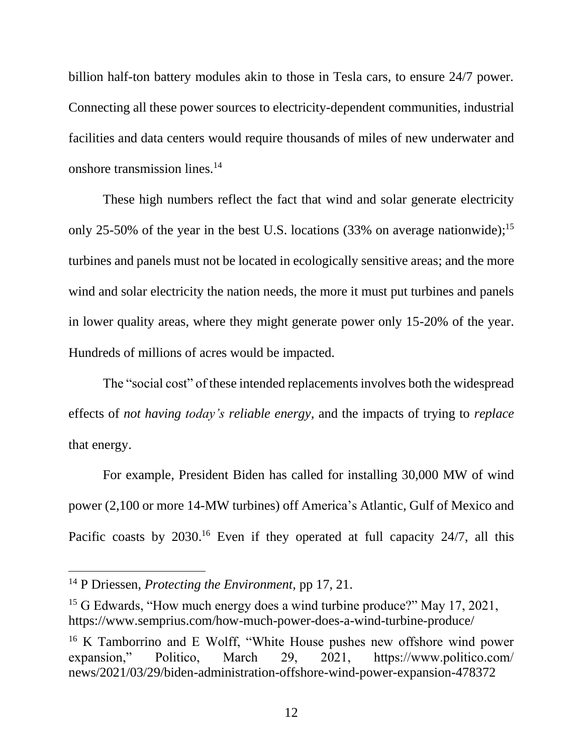billion half-ton battery modules akin to those in Tesla cars, to ensure 24/7 power. Connecting all these power sources to electricity-dependent communities, industrial facilities and data centers would require thousands of miles of new underwater and onshore transmission lines.<sup>14</sup>

These high numbers reflect the fact that wind and solar generate electricity only 25-50% of the year in the best U.S. locations (33% on average nationwide);<sup>15</sup> turbines and panels must not be located in ecologically sensitive areas; and the more wind and solar electricity the nation needs, the more it must put turbines and panels in lower quality areas, where they might generate power only 15-20% of the year. Hundreds of millions of acres would be impacted.

The "social cost" of these intended replacements involves both the widespread effects of *not having today's reliable energy,* and the impacts of trying to *replace* that energy.

For example, President Biden has called for installing 30,000 MW of wind power (2,100 or more 14-MW turbines) off America's Atlantic, Gulf of Mexico and Pacific coasts by 2030.<sup>16</sup> Even if they operated at full capacity 24/7, all this

<sup>14</sup> P Driessen, *Protecting the Environment,* pp 17, 21.

<sup>&</sup>lt;sup>15</sup> G Edwards, "How much energy does a wind turbine produce?" May 17, 2021, https://www.semprius.com/how-much-power-does-a-wind-turbine-produce/

<sup>&</sup>lt;sup>16</sup> K Tamborrino and E Wolff, "White House pushes new offshore wind power expansion," Politico, March 29, 2021, https://www.politico.com/ news/2021/03/29/biden-administration-offshore-wind-power-expansion-478372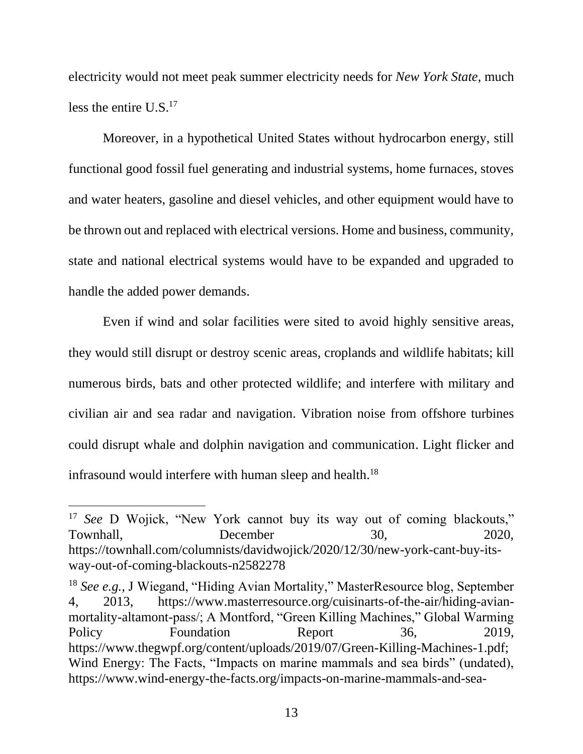electricity would not meet peak summer electricity needs for *New York State*, much less the entire U.S.<sup>17</sup>

Moreover, in a hypothetical United States without hydrocarbon energy, still functional good fossil fuel generating and industrial systems, home furnaces, stoves and water heaters, gasoline and diesel vehicles, and other equipment would have to be thrown out and replaced with electrical versions. Home and business, community, state and national electrical systems would have to be expanded and upgraded to handle the added power demands.

Even if wind and solar facilities were sited to avoid highly sensitive areas, they would still disrupt or destroy scenic areas, croplands and wildlife habitats; kill numerous birds, bats and other protected wildlife; and interfere with military and civilian air and sea radar and navigation. Vibration noise from offshore turbines could disrupt whale and dolphin navigation and communication. Light flicker and infrasound would interfere with human sleep and health.<sup>18</sup>

<sup>&</sup>lt;sup>17</sup> *See* D Wojick, "New York cannot buy its way out of coming blackouts," Townhall, December 30, 2020, https://townhall.com/columnists/davidwojick/2020/12/30/new-york-cant-buy-itsway-out-of-coming-blackouts-n2582278

<sup>18</sup> *See e.g.,* J Wiegand, "Hiding Avian Mortality," MasterResource blog, September 4, 2013, https://www.masterresource.org/cuisinarts-of-the-air/hiding-avianmortality-altamont-pass/; A Montford, "Green Killing Machines," Global Warming Policy Foundation Report 36, 2019, https://www.thegwpf.org/content/uploads/2019/07/Green-Killing-Machines-1.pdf; Wind Energy: The Facts, "Impacts on marine mammals and sea birds" (undated), https://www.wind-energy-the-facts.org/impacts-on-marine-mammals-and-sea-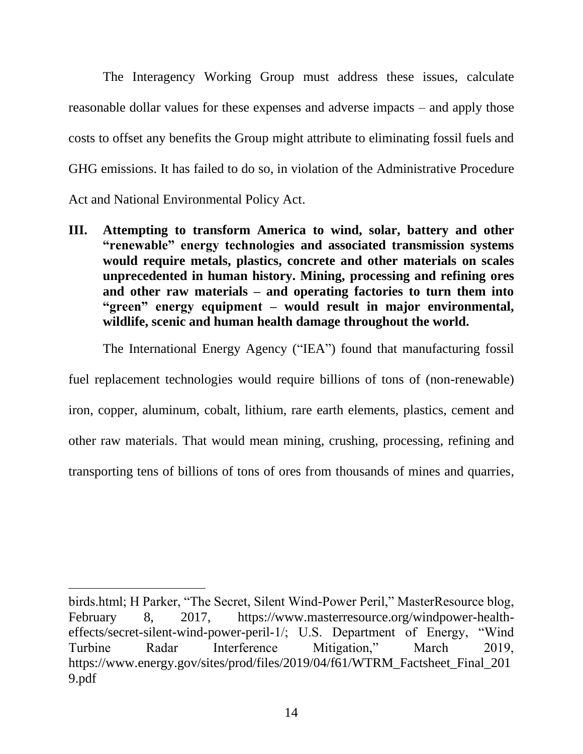The Interagency Working Group must address these issues, calculate reasonable dollar values for these expenses and adverse impacts – and apply those costs to offset any benefits the Group might attribute to eliminating fossil fuels and GHG emissions. It has failed to do so, in violation of the Administrative Procedure Act and National Environmental Policy Act.

**III. Attempting to transform America to wind, solar, battery and other "renewable" energy technologies and associated transmission systems would require metals, plastics, concrete and other materials on scales unprecedented in human history. Mining, processing and refining ores and other raw materials – and operating factories to turn them into "green" energy equipment – would result in major environmental, wildlife, scenic and human health damage throughout the world.** 

The International Energy Agency ("IEA") found that manufacturing fossil

fuel replacement technologies would require billions of tons of (non-renewable) iron, copper, aluminum, cobalt, lithium, rare earth elements, plastics, cement and other raw materials. That would mean mining, crushing, processing, refining and transporting tens of billions of tons of ores from thousands of mines and quarries,

birds.html; H Parker, "The Secret, Silent Wind-Power Peril," MasterResource blog, February 8, 2017, https://www.masterresource.org/windpower-healtheffects/secret-silent-wind-power-peril-1/; U.S. Department of Energy, "Wind Turbine Radar Interference Mitigation," March 2019, https://www.energy.gov/sites/prod/files/2019/04/f61/WTRM\_Factsheet\_Final\_201 9.pdf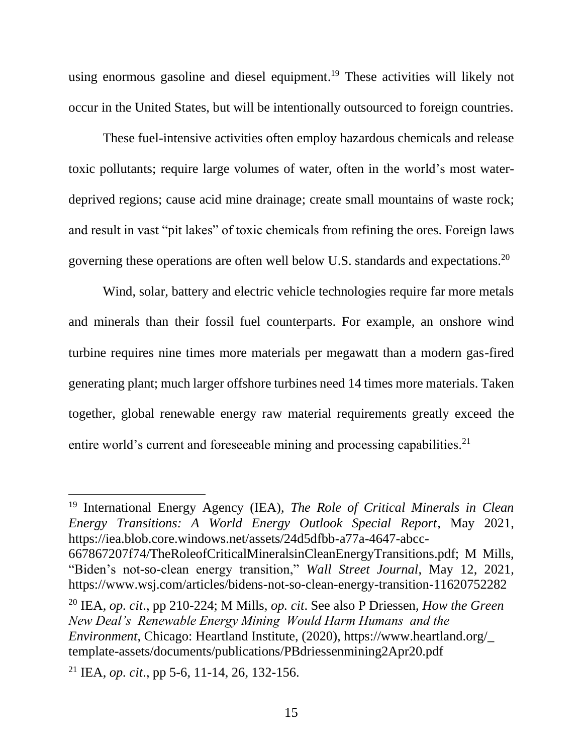using enormous gasoline and diesel equipment.<sup>19</sup> These activities will likely not occur in the United States, but will be intentionally outsourced to foreign countries.

These fuel-intensive activities often employ hazardous chemicals and release toxic pollutants; require large volumes of water, often in the world's most waterdeprived regions; cause acid mine drainage; create small mountains of waste rock; and result in vast "pit lakes" of toxic chemicals from refining the ores. Foreign laws governing these operations are often well below U.S. standards and expectations.<sup>20</sup>

Wind, solar, battery and electric vehicle technologies require far more metals and minerals than their fossil fuel counterparts. For example, an onshore wind turbine requires nine times more materials per megawatt than a modern gas-fired generating plant; much larger offshore turbines need 14 times more materials. Taken together, global renewable energy raw material requirements greatly exceed the entire world's current and foreseeable mining and processing capabilities.<sup>21</sup>

<sup>19</sup> International Energy Agency (IEA), *The Role of Critical Minerals in Clean Energy Transitions: A World Energy Outlook Special Report*, May 2021, https://iea.blob.core.windows.net/assets/24d5dfbb-a77a-4647-abcc-

<sup>667867207</sup>f74/TheRoleofCriticalMineralsinCleanEnergyTransitions.pdf; M Mills, "Biden's not-so-clean energy transition," *Wall Street Journal*, May 12, 2021, https://www.wsj.com/articles/bidens-not-so-clean-energy-transition-11620752282

<sup>20</sup> IEA, *op. cit*., pp 210-224; M Mills, *op. cit*. See also P Driessen, *How the Green New Deal's Renewable Energy Mining Would Harm Humans and the Environment*, Chicago: Heartland Institute, (2020), https://www.heartland.org/\_ template-assets/documents/publications/PBdriessenmining2Apr20.pdf

<sup>21</sup> IEA, *op. cit*., pp 5-6, 11-14, 26, 132-156.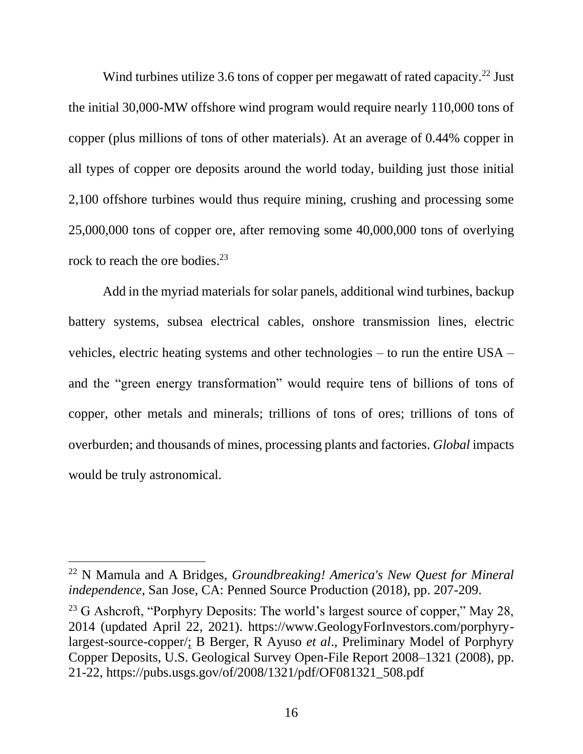Wind turbines utilize 3.6 tons of copper per megawatt of rated capacity.<sup>22</sup> Just the initial 30,000-MW offshore wind program would require nearly 110,000 tons of copper (plus millions of tons of other materials). At an average of 0.44% copper in all types of copper ore deposits around the world today, building just those initial 2,100 offshore turbines would thus require mining, crushing and processing some 25,000,000 tons of copper ore, after removing some 40,000,000 tons of overlying rock to reach the ore bodies. 23

Add in the myriad materials for solar panels, additional wind turbines, backup battery systems, subsea electrical cables, onshore transmission lines, electric vehicles, electric heating systems and other technologies – to run the entire USA – and the "green energy transformation" would require tens of billions of tons of copper, other metals and minerals; trillions of tons of ores; trillions of tons of overburden; and thousands of mines, processing plants and factories. *Global* impacts would be truly astronomical.

<sup>22</sup> N Mamula and A Bridges, *Groundbreaking! America's New Quest for Mineral independence*, San Jose, CA: Penned Source Production (2018), pp. 207-209.

<sup>&</sup>lt;sup>23</sup> G Ashcroft, "Porphyry Deposits: The world's largest source of copper," May 28, 2014 (updated April 22, 2021). https://www.GeologyForInvestors.com/porphyrylargest-source-copper/; B Berger, R Ayuso *et al*., Preliminary Model of Porphyry Copper Deposits, U.S. Geological Survey Open-File Report 2008–1321 (2008), pp. 21-22, https://pubs.usgs.gov/of/2008/1321/pdf/OF081321\_508.pdf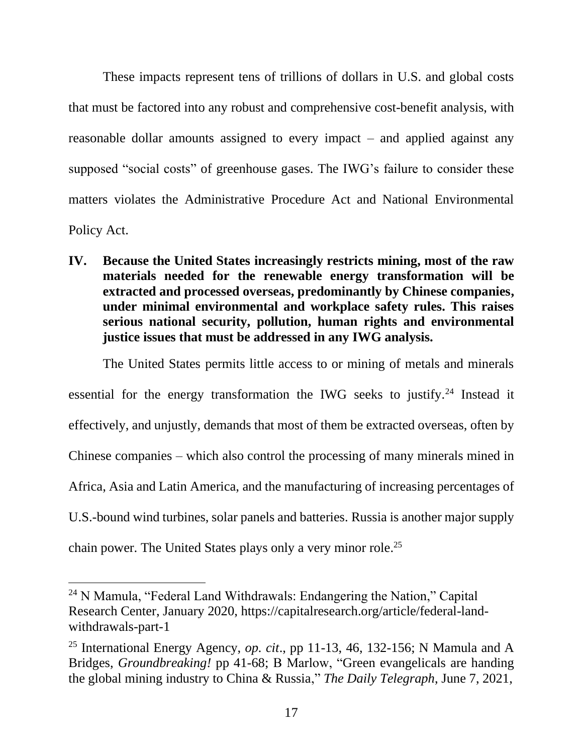These impacts represent tens of trillions of dollars in U.S. and global costs that must be factored into any robust and comprehensive cost-benefit analysis, with reasonable dollar amounts assigned to every impact – and applied against any supposed "social costs" of greenhouse gases. The IWG's failure to consider these matters violates the Administrative Procedure Act and National Environmental Policy Act.

**IV. Because the United States increasingly restricts mining, most of the raw materials needed for the renewable energy transformation will be extracted and processed overseas, predominantly by Chinese companies, under minimal environmental and workplace safety rules. This raises serious national security, pollution, human rights and environmental justice issues that must be addressed in any IWG analysis.** 

The United States permits little access to or mining of metals and minerals essential for the energy transformation the IWG seeks to justify.<sup>24</sup> Instead it effectively, and unjustly, demands that most of them be extracted overseas, often by Chinese companies – which also control the processing of many minerals mined in Africa, Asia and Latin America, and the manufacturing of increasing percentages of U.S.-bound wind turbines, solar panels and batteries. Russia is another major supply

chain power. The United States plays only a very minor role.<sup>25</sup>

<sup>&</sup>lt;sup>24</sup> N Mamula, "Federal Land Withdrawals: Endangering the Nation," Capital Research Center, January 2020, https://capitalresearch.org/article/federal-landwithdrawals-part-1

<sup>25</sup> International Energy Agency, *op. cit*., pp 11-13, 46, 132-156; N Mamula and A Bridges, *Groundbreaking!* pp 41-68; B Marlow, "Green evangelicals are handing the global mining industry to China & Russia," *The Daily Telegraph*, June 7, 2021,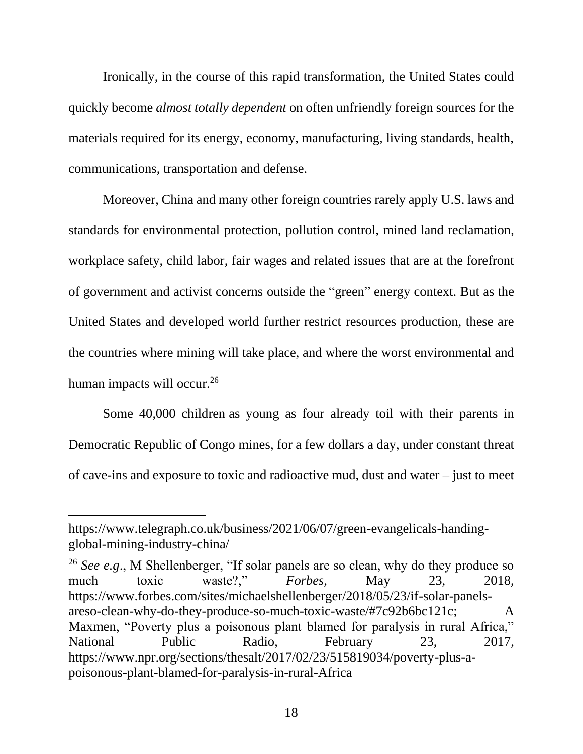Ironically, in the course of this rapid transformation, the United States could quickly become *almost totally dependent* on often unfriendly foreign sources for the materials required for its energy, economy, manufacturing, living standards, health, communications, transportation and defense.

Moreover, China and many other foreign countries rarely apply U.S. laws and standards for environmental protection, pollution control, mined land reclamation, workplace safety, child labor, fair wages and related issues that are at the forefront of government and activist concerns outside the "green" energy context. But as the United States and developed world further restrict resources production, these are the countries where mining will take place, and where the worst environmental and human impacts will occur.<sup>26</sup>

Some 40,000 children as young as four already toil with their parents in Democratic Republic of Congo mines, for a few dollars a day, under constant threat of cave-ins and exposure to toxic and radioactive mud, dust and water – just to meet

<sup>26</sup> *See e.g*., M Shellenberger, "If solar panels are so clean, why do they produce so much toxic waste?," *Forbes*, May 23, 2018, https://www.forbes.com/sites/michaelshellenberger/2018/05/23/if-solar-panelsareso-clean-why-do-they-produce-so-much-toxic-waste/#7c92b6bc121c; A Maxmen, "Poverty plus a poisonous plant blamed for paralysis in rural Africa," National Public Radio, February 23, 2017, https://www.npr.org/sections/thesalt/2017/02/23/515819034/poverty-plus-apoisonous-plant-blamed-for-paralysis-in-rural-Africa

https://www.telegraph.co.uk/business/2021/06/07/green-evangelicals-handingglobal-mining-industry-china/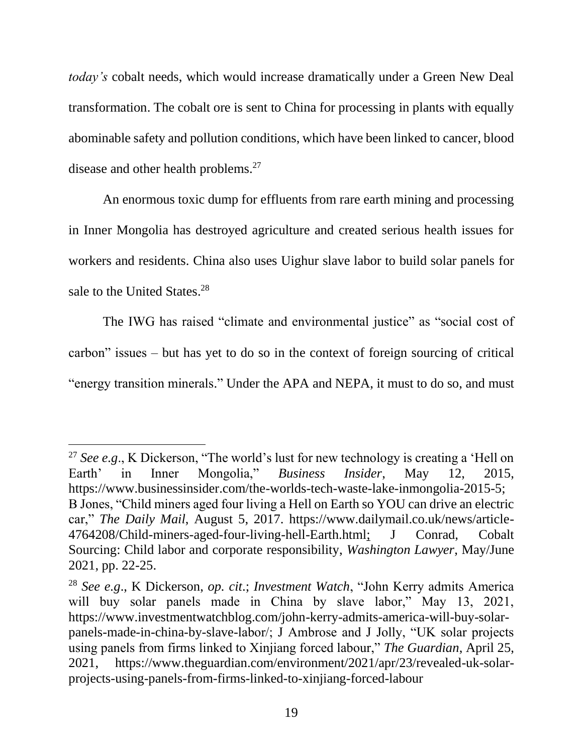*today's* cobalt needs, which would increase dramatically under a Green New Deal transformation. The cobalt ore is sent to China for processing in plants with equally abominable safety and pollution conditions, which have been linked to cancer, blood disease and other health problems.<sup>27</sup>

An enormous toxic dump for effluents from rare earth mining and processing in Inner Mongolia has destroyed agriculture and created serious health issues for workers and residents. China also uses Uighur slave labor to build solar panels for sale to the United States.<sup>28</sup>

The IWG has raised "climate and environmental justice" as "social cost of carbon" issues – but has yet to do so in the context of foreign sourcing of critical "energy transition minerals." Under the APA and NEPA, it must to do so, and must

<sup>&</sup>lt;sup>27</sup> *See e.g.*, K Dickerson, "The world's lust for new technology is creating a 'Hell on Earth' in Inner Mongolia," *Business Insider*, May 12, 2015, https://www.businessinsider.com/the-worlds-tech-waste-lake-inmongolia-2015-5; B Jones, "Child miners aged four living a Hell on Earth so YOU can drive an electric car," *The Daily Mail*, August 5, 2017. https://www.dailymail.co.uk/news/article-4764208/Child-miners-aged-four-living-hell-Earth.html; J Conrad, Cobalt Sourcing: Child labor and corporate responsibility, *Washington Lawyer*, May/June 2021, pp. 22-25.

<sup>28</sup> *See e.g*., K Dickerson, *op. cit*.; *Investment Watch*, "John Kerry admits America will buy solar panels made in China by slave labor," May 13, 2021, https://www.investmentwatchblog.com/john-kerry-admits-america-will-buy-solarpanels-made-in-china-by-slave-labor/; J Ambrose and J Jolly, "UK solar projects using panels from firms linked to Xinjiang forced labour," *The Guardian*, April 25, 2021, https://www.theguardian.com/environment/2021/apr/23/revealed-uk-solarprojects-using-panels-from-firms-linked-to-xinjiang-forced-labour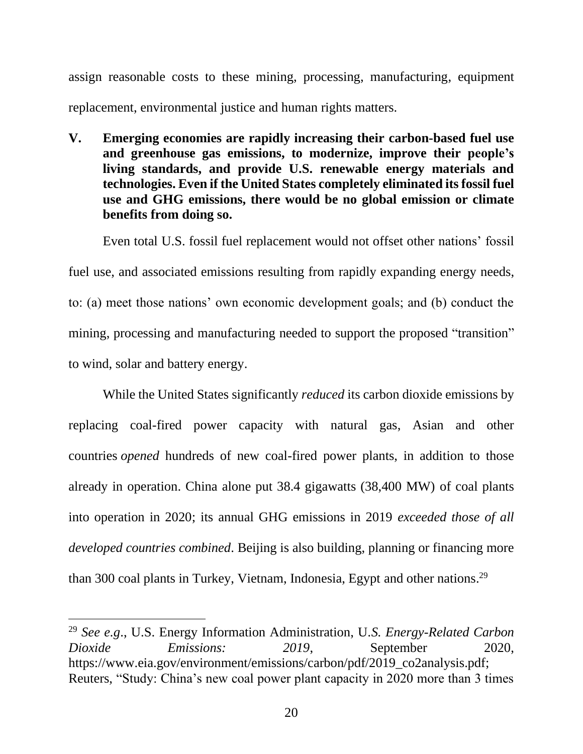assign reasonable costs to these mining, processing, manufacturing, equipment replacement, environmental justice and human rights matters.

**V. Emerging economies are rapidly increasing their carbon-based fuel use and greenhouse gas emissions, to modernize, improve their people's living standards, and provide U.S. renewable energy materials and technologies. Even if the United States completely eliminated its fossil fuel use and GHG emissions, there would be no global emission or climate benefits from doing so.** 

Even total U.S. fossil fuel replacement would not offset other nations' fossil fuel use, and associated emissions resulting from rapidly expanding energy needs, to: (a) meet those nations' own economic development goals; and (b) conduct the mining, processing and manufacturing needed to support the proposed "transition" to wind, solar and battery energy.

While the United States significantly *reduced* its carbon dioxide emissions by replacing coal-fired power capacity with natural gas, Asian and other countries *opened* hundreds of new coal-fired power plants, in addition to those already in operation. China alone put 38.4 gigawatts (38,400 MW) of coal plants into operation in 2020; its annual GHG emissions in 2019 *exceeded those of all developed countries combined*. Beijing is also building, planning or financing more than 300 coal plants in Turkey, Vietnam, Indonesia, Egypt and other nations.<sup>29</sup>

<sup>29</sup> *See e.g*., U.S. Energy Information Administration, U*.S. Energy-Related Carbon Dioxide Emissions:* 2019, September 2020, https://www.eia.gov/environment/emissions/carbon/pdf/2019\_co2analysis.pdf; Reuters, "Study: China's new coal power plant capacity in 2020 more than 3 times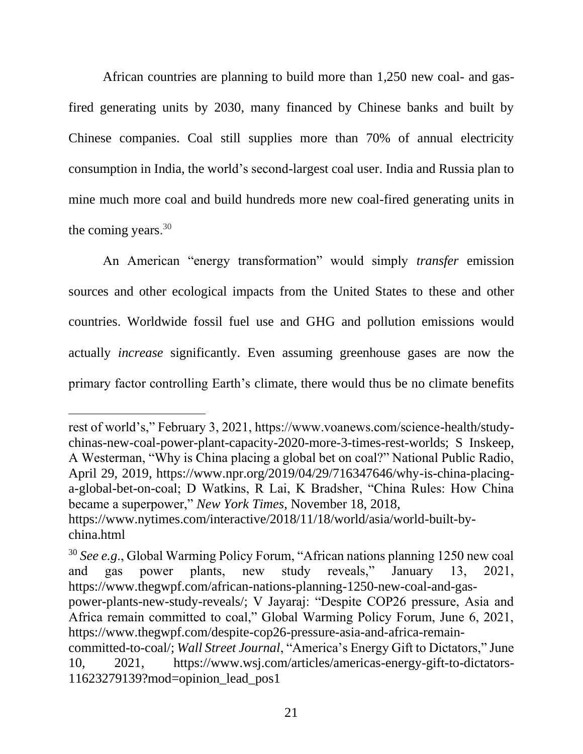African countries are planning to build more than 1,250 new coal- and gasfired generating units by 2030, many financed by Chinese banks and built by Chinese companies. Coal still supplies more than 70% of annual electricity consumption in India, the world's second-largest coal user. India and Russia plan to mine much more coal and build hundreds more new coal-fired generating units in the coming years. 30

An American "energy transformation" would simply *transfer* emission sources and other ecological impacts from the United States to these and other countries. Worldwide fossil fuel use and GHG and pollution emissions would actually *increase* significantly. Even assuming greenhouse gases are now the primary factor controlling Earth's climate, there would thus be no climate benefits

rest of world's," February 3, 2021, https://www.voanews.com/science-health/studychinas-new-coal-power-plant-capacity-2020-more-3-times-rest-worlds; S Inskeep, A Westerman, "Why is China placing a global bet on coal?" National Public Radio, April 29, 2019, https://www.npr.org/2019/04/29/716347646/why-is-china-placinga-global-bet-on-coal; D Watkins, R Lai, K Bradsher, "China Rules: How China became a superpower," *New York Times*, November 18, 2018, https://www.nytimes.com/interactive/2018/11/18/world/asia/world-built-bychina.html

<sup>30</sup> *See e.g*., Global Warming Policy Forum, "African nations planning 1250 new coal and gas power plants, new study reveals," January 13, 2021, https://www.thegwpf.com/african-nations-planning-1250-new-coal-and-gas-

power-plants-new-study-reveals/; V Jayaraj: "Despite COP26 pressure, Asia and Africa remain committed to coal," Global Warming Policy Forum, June 6, 2021, https://www.thegwpf.com/despite-cop26-pressure-asia-and-africa-remain-

committed-to-coal/; *Wall Street Journal*, "America's Energy Gift to Dictators," June 10, 2021, https://www.wsj.com/articles/americas-energy-gift-to-dictators-11623279139?mod=opinion\_lead\_pos1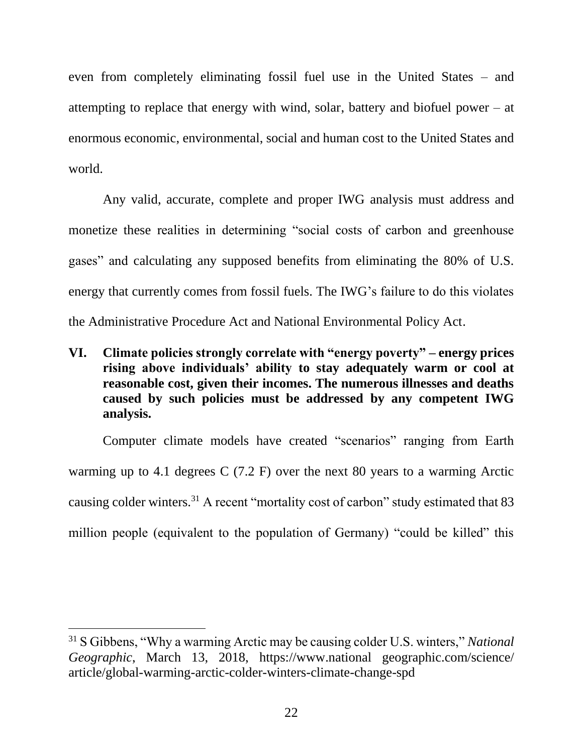even from completely eliminating fossil fuel use in the United States – and attempting to replace that energy with wind, solar, battery and biofuel power – at enormous economic, environmental, social and human cost to the United States and world.

Any valid, accurate, complete and proper IWG analysis must address and monetize these realities in determining "social costs of carbon and greenhouse gases" and calculating any supposed benefits from eliminating the 80% of U.S. energy that currently comes from fossil fuels. The IWG's failure to do this violates the Administrative Procedure Act and National Environmental Policy Act.

**VI. Climate policies strongly correlate with "energy poverty" – energy prices rising above individuals' ability to stay adequately warm or cool at reasonable cost, given their incomes. The numerous illnesses and deaths caused by such policies must be addressed by any competent IWG analysis.** 

Computer climate models have created "scenarios" ranging from Earth warming up to 4.1 degrees C (7.2 F) over the next 80 years to a warming Arctic causing colder winters.<sup>31</sup> A recent "mortality cost of carbon" study estimated that 83 million people (equivalent to the population of Germany) "could be killed" this

<sup>31</sup> S Gibbens, "Why a warming Arctic may be causing colder U.S. winters," *National Geographic*, March 13, 2018, [https://www.national](https://www.national/) geographic.com/science/ article/global-warming-arctic-colder-winters-climate-change-spd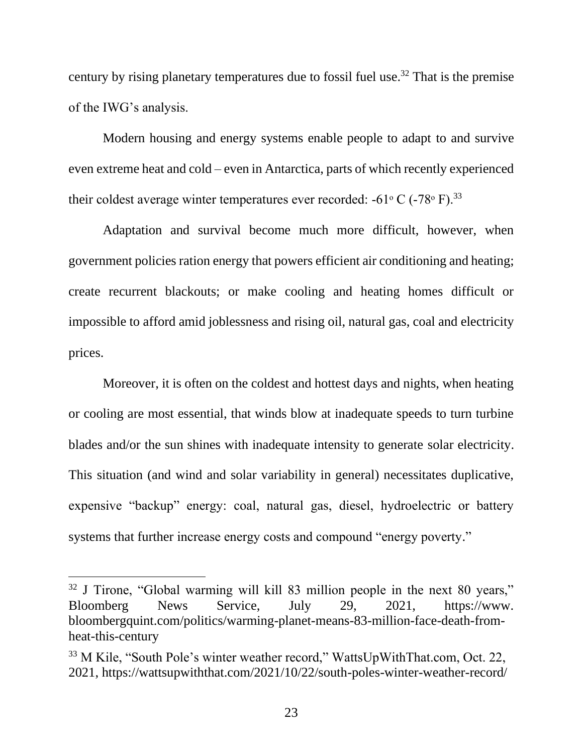century by rising planetary temperatures due to fossil fuel use.<sup>32</sup> That is the premise of the IWG's analysis.

Modern housing and energy systems enable people to adapt to and survive even extreme heat and cold – even in Antarctica, parts of which recently experienced their coldest average winter temperatures ever recorded: -61 $\rm{^{\circ}}$  C (-78 $\rm{^{\circ}}$  F).<sup>33</sup>

Adaptation and survival become much more difficult, however, when government policies ration energy that powers efficient air conditioning and heating; create recurrent blackouts; or make cooling and heating homes difficult or impossible to afford amid joblessness and rising oil, natural gas, coal and electricity prices.

Moreover, it is often on the coldest and hottest days and nights, when heating or cooling are most essential, that winds blow at inadequate speeds to turn turbine blades and/or the sun shines with inadequate intensity to generate solar electricity. This situation (and wind and solar variability in general) necessitates duplicative, expensive "backup" energy: coal, natural gas, diesel, hydroelectric or battery systems that further increase energy costs and compound "energy poverty."

<sup>&</sup>lt;sup>32</sup> J Tirone, "Global warming will kill 83 million people in the next 80 years," Bloomberg News Service, July 29, 2021, https://www. bloombergquint.com/politics/warming-planet-means-83-million-face-death-fromheat-this-century

<sup>33</sup> M Kile, "South Pole's winter weather record," WattsUpWithThat.com, Oct. 22, 2021, https://wattsupwiththat.com/2021/10/22/south-poles-winter-weather-record/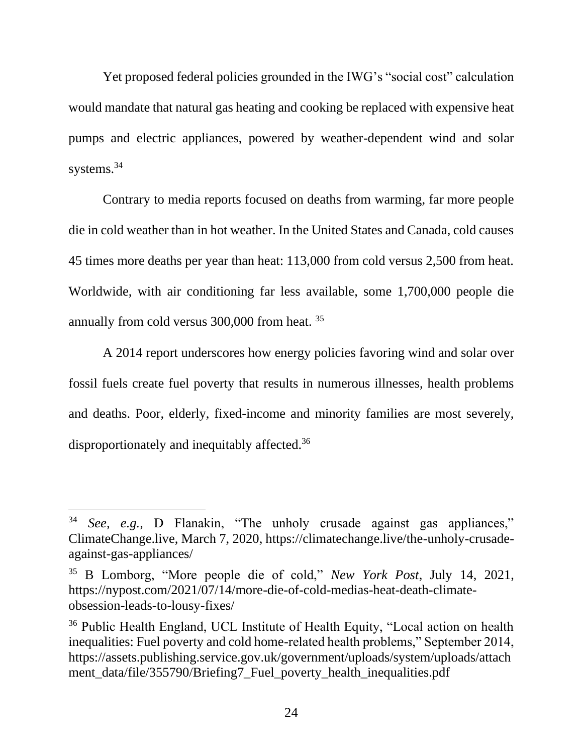Yet proposed federal policies grounded in the IWG's "social cost" calculation would mandate that natural gas heating and cooking be replaced with expensive heat pumps and electric appliances, powered by weather-dependent wind and solar systems.<sup>34</sup>

Contrary to media reports focused on deaths from warming, far more people die in cold weather than in hot weather. In the United States and Canada, cold causes 45 times more deaths per year than heat: 113,000 from cold versus 2,500 from heat. Worldwide, with air conditioning far less available, some 1,700,000 people die annually from cold versus 300,000 from heat. <sup>35</sup>

A 2014 report underscores how energy policies favoring wind and solar over fossil fuels create fuel poverty that results in numerous illnesses, health problems and deaths. Poor, elderly, fixed-income and minority families are most severely, disproportionately and inequitably affected.<sup>36</sup>

<sup>34</sup> *See, e.g.,* D Flanakin, "The unholy crusade against gas appliances," ClimateChange.live, March 7, 2020, https://climatechange.live/the-unholy-crusadeagainst-gas-appliances/

<sup>35</sup> B Lomborg, "More people die of cold," *New York Post*, July 14, 2021, https://nypost.com/2021/07/14/more-die-of-cold-medias-heat-death-climateobsession-leads-to-lousy-fixes/

<sup>36</sup> Public Health England, UCL Institute of Health Equity, "Local action on health inequalities: Fuel poverty and cold home-related health problems," September 2014, https://assets.publishing.service.gov.uk/government/uploads/system/uploads/attach ment data/file/355790/Briefing7 Fuel poverty health inequalities.pdf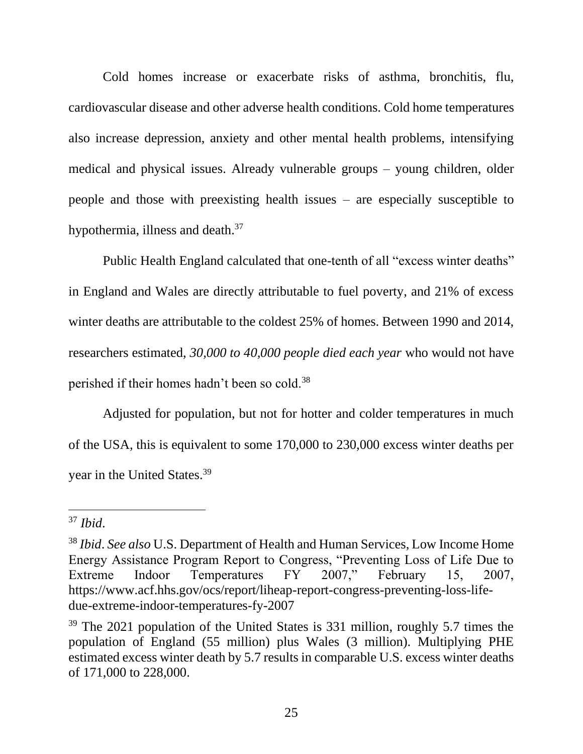Cold homes increase or exacerbate risks of asthma, bronchitis, flu, cardiovascular disease and other adverse health conditions. Cold home temperatures also increase depression, anxiety and other mental health problems, intensifying medical and physical issues. Already vulnerable groups – young children, older people and those with preexisting health issues – are especially susceptible to hypothermia, illness and death.<sup>37</sup>

Public Health England calculated that one-tenth of all "excess winter deaths" in England and Wales are directly attributable to fuel poverty, and 21% of excess winter deaths are attributable to the coldest 25% of homes. Between 1990 and 2014, researchers estimated, *30,000 to 40,000 people died each year* who would not have perished if their homes hadn't been so cold.<sup>38</sup>

Adjusted for population, but not for hotter and colder temperatures in much of the USA, this is equivalent to some 170,000 to 230,000 excess winter deaths per year in the United States.<sup>39</sup>

<sup>37</sup> *Ibid*.

<sup>38</sup> *Ibid*. *See also* U.S. Department of Health and Human Services, Low Income Home Energy Assistance Program Report to Congress, "Preventing Loss of Life Due to Extreme Indoor Temperatures FY 2007," February 15, 2007, https://www.acf.hhs.gov/ocs/report/liheap-report-congress-preventing-loss-lifedue-extreme-indoor-temperatures-fy-2007

<sup>&</sup>lt;sup>39</sup> The 2021 population of the United States is 331 million, roughly 5.7 times the population of England (55 million) plus Wales (3 million). Multiplying PHE estimated excess winter death by 5.7 results in comparable U.S. excess winter deaths of 171,000 to 228,000.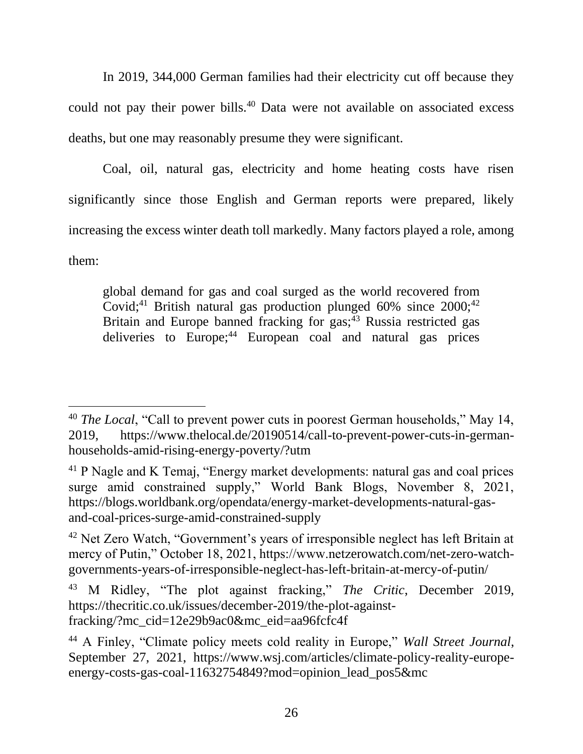In 2019, 344,000 German families had their electricity cut off because they could not pay their power bills.<sup>40</sup> Data were not available on associated excess deaths, but one may reasonably presume they were significant.

Coal, oil, natural gas, electricity and home heating costs have risen significantly since those English and German reports were prepared, likely increasing the excess winter death toll markedly. Many factors played a role, among them:

global demand for gas and coal surged as the world recovered from Covid;<sup>41</sup> British natural gas production plunged  $60\%$  since  $2000$ ;<sup>42</sup> Britain and Europe banned fracking for  $\text{gas}$ <sup>43</sup> Russia restricted gas deliveries to Europe;<sup>44</sup> European coal and natural gas prices

<sup>&</sup>lt;sup>40</sup> *The Local*, "Call to prevent power cuts in poorest German households," May 14, 2019, https://www.thelocal.de/20190514/call-to-prevent-power-cuts-in-germanhouseholds-amid-rising-energy-poverty/?utm

<sup>41</sup> P Nagle and K Temaj, "Energy market developments: natural gas and coal prices surge amid constrained supply," World Bank Blogs, November 8, 2021, https://blogs.worldbank.org/opendata/energy-market-developments-natural-gasand-coal-prices-surge-amid-constrained-supply

<sup>&</sup>lt;sup>42</sup> Net Zero Watch, "Government's years of irresponsible neglect has left Britain at mercy of Putin," October 18, 2021, https://www.netzerowatch.com/net-zero-watchgovernments-years-of-irresponsible-neglect-has-left-britain-at-mercy-of-putin/

<sup>43</sup> M Ridley, "The plot against fracking," *The Critic*, December 2019, https://thecritic.co.uk/issues/december-2019/the-plot-againstfracking/?mc\_cid=12e29b9ac0&mc\_eid=aa96fcfc4f

<sup>44</sup> A Finley, "Climate policy meets cold reality in Europe," *Wall Street Journal*, September 27, 2021, https://www.wsj.com/articles/climate-policy-reality-europeenergy-costs-gas-coal-11632754849?mod=opinion\_lead\_pos5&mc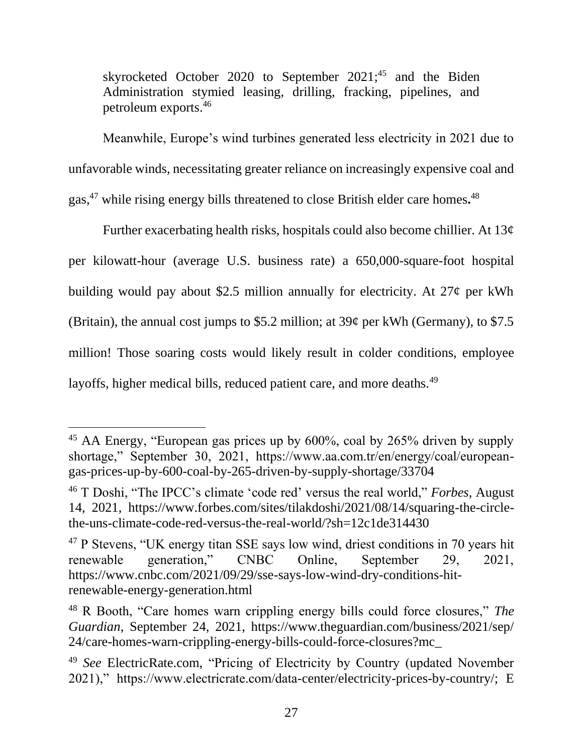skyrocketed October 2020 to September 2021;<sup>45</sup> and the Biden Administration stymied leasing, drilling, fracking, pipelines, and petroleum exports. 46

Meanwhile, Europe's wind turbines generated less electricity in 2021 due to unfavorable winds, necessitating greater reliance on increasingly expensive coal and gas, <sup>47</sup> while rising energy bills threatened to close British elder care homes**.** 48

Further exacerbating health risks, hospitals could also become chillier. At 13¢ per kilowatt-hour (average U.S. business rate) a 650,000-square-foot hospital building would pay about \$2.5 million annually for electricity. At  $27¢$  per kWh (Britain), the annual cost jumps to \$5.2 million; at  $39¢$  per kWh (Germany), to \$7.5 million! Those soaring costs would likely result in colder conditions, employee layoffs, higher medical bills, reduced patient care, and more deaths.<sup>49</sup>

<sup>45</sup> AA Energy, "European gas prices up by 600%, coal by 265% driven by supply shortage," September 30, 2021, https://www.aa.com.tr/en/energy/coal/europeangas-prices-up-by-600-coal-by-265-driven-by-supply-shortage/33704

<sup>46</sup> T Doshi, "The IPCC's climate 'code red' versus the real world," *Forbes*, August 14, 2021, https://www.forbes.com/sites/tilakdoshi/2021/08/14/squaring-the-circlethe-uns-climate-code-red-versus-the-real-world/?sh=12c1de314430

<sup>47</sup> P Stevens, "UK energy titan SSE says low wind, driest conditions in 70 years hit renewable generation," CNBC Online, September 29, 2021, https://www.cnbc.com/2021/09/29/sse-says-low-wind-dry-conditions-hitrenewable-energy-generation.html

<sup>48</sup> R Booth, "Care homes warn crippling energy bills could force closures," *The Guardian*, September 24, 2021, https://www.theguardian.com/business/2021/sep/ 24/care-homes-warn-crippling-energy-bills-could-force-closures?mc\_

<sup>49</sup> *See* ElectricRate.com, "Pricing of Electricity by Country (updated November 2021)," https://www.electricrate.com/data-center/electricity-prices-by-country/; E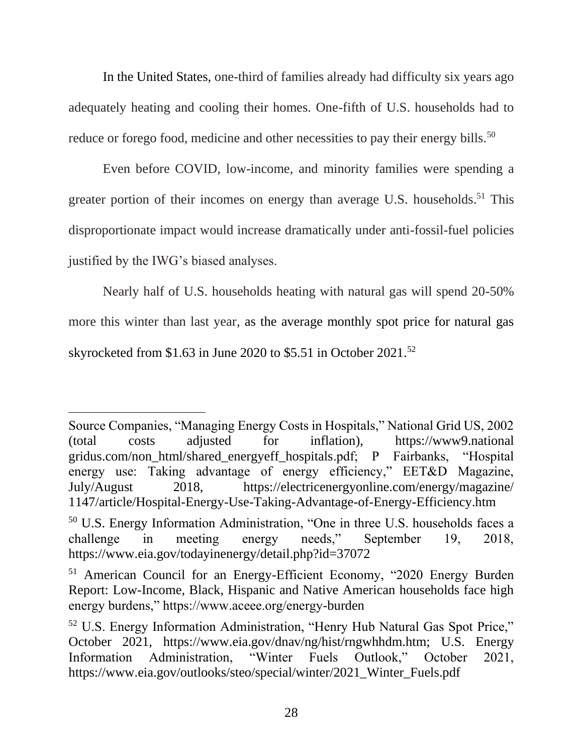In the United States, one-third of families already had difficulty six years ago adequately heating and cooling their homes. One-fifth of U.S. households had to reduce or forego food, medicine and other necessities to pay their energy bills.<sup>50</sup>

Even before COVID, low-income, and minority families were spending a greater portion of their incomes on energy than average U.S. households.<sup>51</sup> This disproportionate impact would increase dramatically under anti-fossil-fuel policies justified by the IWG's biased analyses.

Nearly half of U.S. households heating with natural gas will spend 20-50% more this winter than last year, as the average monthly spot price for natural gas skyrocketed from \$1.63 in June 2020 to \$5.51 in October 2021.<sup>52</sup>

Source Companies, "Managing Energy Costs in Hospitals," National Grid US, 2002 (total costs adjusted for inflation), https://www9.national gridus.com/non\_html/shared\_energyeff\_hospitals.pdf; P Fairbanks, "Hospital energy use: Taking advantage of energy efficiency," EET&D Magazine, July/August 2018, https://electricenergyonline.com/energy/magazine/ 1147/article/Hospital-Energy-Use-Taking-Advantage-of-Energy-Efficiency.htm

<sup>50</sup> U.S. Energy Information Administration, "One in three U.S. households faces a challenge in meeting energy needs," September 19, 2018, https://www.eia.gov/todayinenergy/detail.php?id=37072

<sup>51</sup> American Council for an Energy-Efficient Economy, "2020 Energy Burden Report: Low-Income, Black, Hispanic and Native American households face high energy burdens," https://www.aceee.org/energy-burden

<sup>52</sup> U.S. Energy Information Administration, "Henry Hub Natural Gas Spot Price," October 2021, https://www.eia.gov/dnav/ng/hist/rngwhhdm.htm; U.S. Energy Information Administration, "Winter Fuels Outlook," October 2021, https://www.eia.gov/outlooks/steo/special/winter/2021\_Winter\_Fuels.pdf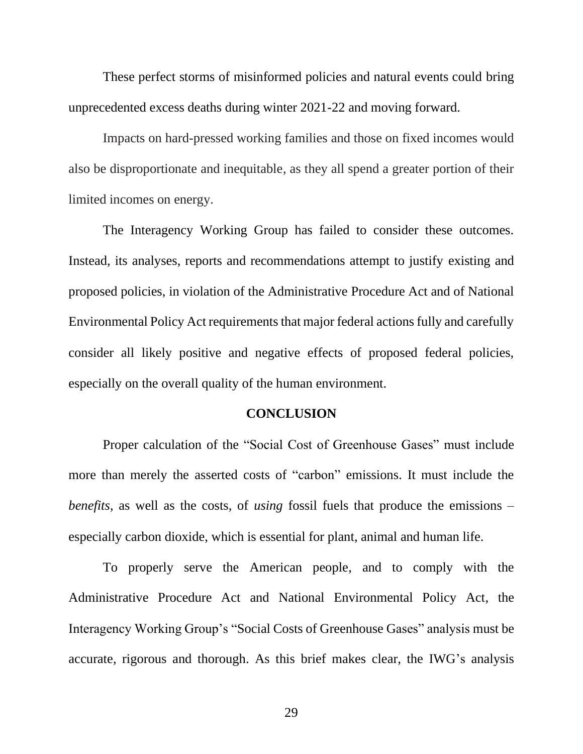These perfect storms of misinformed policies and natural events could bring unprecedented excess deaths during winter 2021-22 and moving forward.

Impacts on hard-pressed working families and those on fixed incomes would also be disproportionate and inequitable, as they all spend a greater portion of their limited incomes on energy.

The Interagency Working Group has failed to consider these outcomes. Instead, its analyses, reports and recommendations attempt to justify existing and proposed policies, in violation of the Administrative Procedure Act and of National Environmental Policy Act requirements that major federal actions fully and carefully consider all likely positive and negative effects of proposed federal policies, especially on the overall quality of the human environment.

#### **CONCLUSION**

Proper calculation of the "Social Cost of Greenhouse Gases" must include more than merely the asserted costs of "carbon" emissions. It must include the *benefits*, as well as the costs, of *using* fossil fuels that produce the emissions – especially carbon dioxide, which is essential for plant, animal and human life.

To properly serve the American people, and to comply with the Administrative Procedure Act and National Environmental Policy Act, the Interagency Working Group's "Social Costs of Greenhouse Gases" analysis must be accurate, rigorous and thorough. As this brief makes clear, the IWG's analysis

29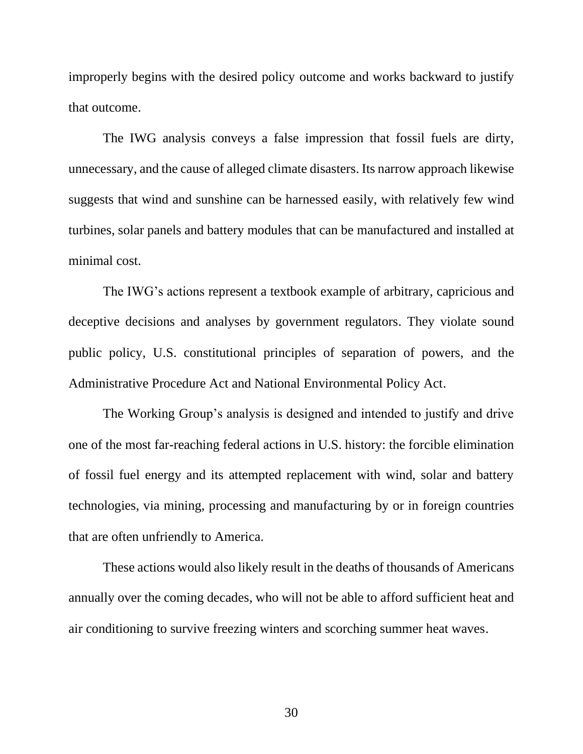improperly begins with the desired policy outcome and works backward to justify that outcome.

The IWG analysis conveys a false impression that fossil fuels are dirty, unnecessary, and the cause of alleged climate disasters. Its narrow approach likewise suggests that wind and sunshine can be harnessed easily, with relatively few wind turbines, solar panels and battery modules that can be manufactured and installed at minimal cost.

The IWG's actions represent a textbook example of arbitrary, capricious and deceptive decisions and analyses by government regulators. They violate sound public policy, U.S. constitutional principles of separation of powers, and the Administrative Procedure Act and National Environmental Policy Act.

The Working Group's analysis is designed and intended to justify and drive one of the most far-reaching federal actions in U.S. history: the forcible elimination of fossil fuel energy and its attempted replacement with wind, solar and battery technologies, via mining, processing and manufacturing by or in foreign countries that are often unfriendly to America.

These actions would also likely result in the deaths of thousands of Americans annually over the coming decades, who will not be able to afford sufficient heat and air conditioning to survive freezing winters and scorching summer heat waves.

30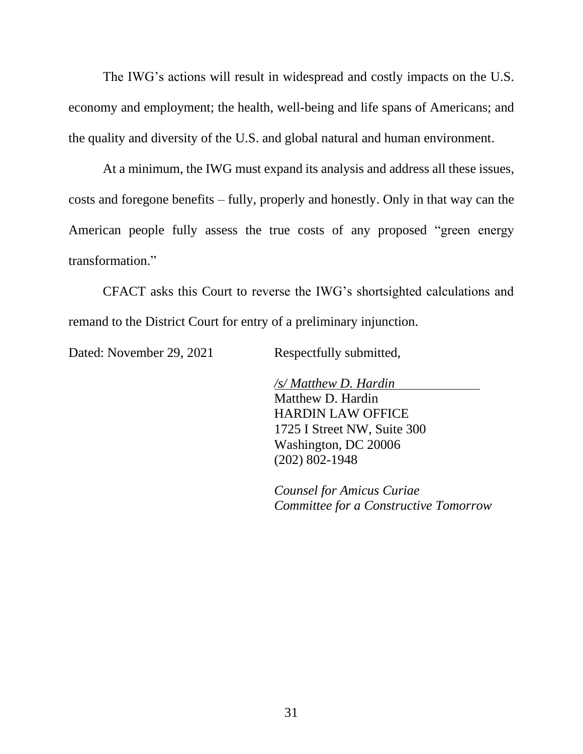The IWG's actions will result in widespread and costly impacts on the U.S. economy and employment; the health, well-being and life spans of Americans; and the quality and diversity of the U.S. and global natural and human environment.

At a minimum, the IWG must expand its analysis and address all these issues, costs and foregone benefits – fully, properly and honestly. Only in that way can the American people fully assess the true costs of any proposed "green energy transformation."

CFACT asks this Court to reverse the IWG's shortsighted calculations and remand to the District Court for entry of a preliminary injunction.

Dated: November 29, 2021 Respectfully submitted,

*/s/ Matthew D. Hardin* Matthew D. Hardin HARDIN LAW OFFICE 1725 I Street NW, Suite 300 Washington, DC 20006 (202) 802-1948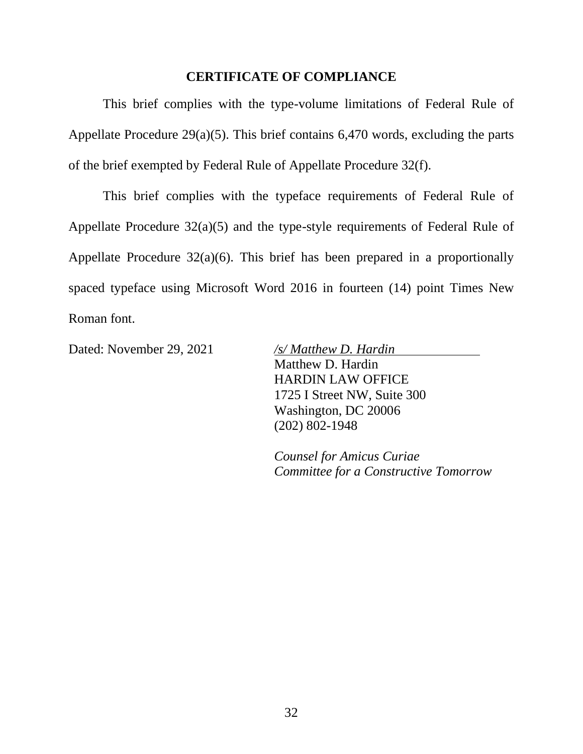#### **CERTIFICATE OF COMPLIANCE**

This brief complies with the type-volume limitations of Federal Rule of Appellate Procedure 29(a)(5). This brief contains 6,470 words, excluding the parts of the brief exempted by Federal Rule of Appellate Procedure 32(f).

This brief complies with the typeface requirements of Federal Rule of Appellate Procedure 32(a)(5) and the type-style requirements of Federal Rule of Appellate Procedure 32(a)(6). This brief has been prepared in a proportionally spaced typeface using Microsoft Word 2016 in fourteen (14) point Times New Roman font.

Dated: November 29, 2021 */s/ Matthew D. Hardin*

Matthew D. Hardin HARDIN LAW OFFICE 1725 I Street NW, Suite 300 Washington, DC 20006 (202) 802-1948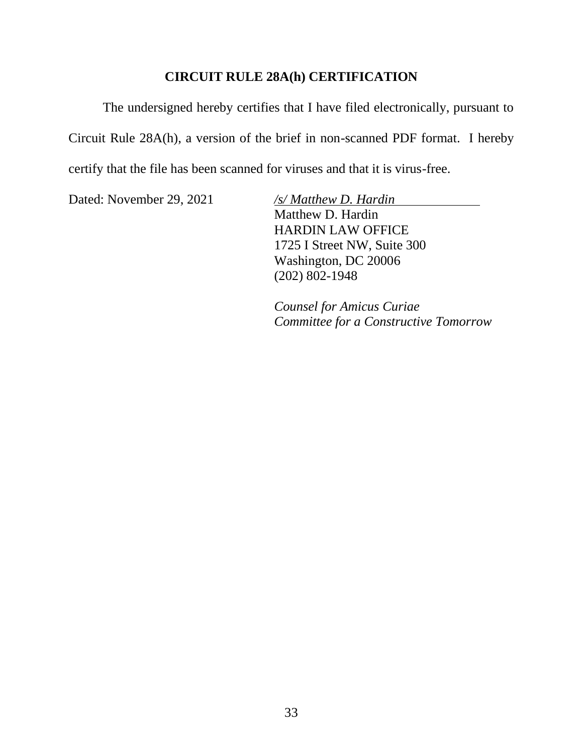#### **CIRCUIT RULE 28A(h) CERTIFICATION**

The undersigned hereby certifies that I have filed electronically, pursuant to Circuit Rule 28A(h), a version of the brief in non-scanned PDF format. I hereby certify that the file has been scanned for viruses and that it is virus-free.

Dated: November 29, 2021 */s/ Matthew D. Hardin*

Matthew D. Hardin HARDIN LAW OFFICE 1725 I Street NW, Suite 300 Washington, DC 20006 (202) 802-1948